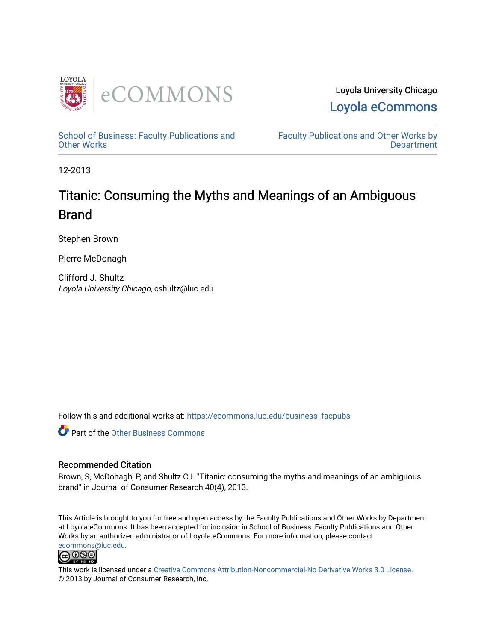

Loyola University Chicago [Loyola eCommons](https://ecommons.luc.edu/) 

[School of Business: Faculty Publications and](https://ecommons.luc.edu/business_facpubs) [Other Works](https://ecommons.luc.edu/business_facpubs)

[Faculty Publications and Other Works by](https://ecommons.luc.edu/faculty)  **Department** 

12-2013

# Titanic: Consuming the Myths and Meanings of an Ambiguous Brand

Stephen Brown

Pierre McDonagh

Clifford J. Shultz Loyola University Chicago, cshultz@luc.edu

Follow this and additional works at: [https://ecommons.luc.edu/business\\_facpubs](https://ecommons.luc.edu/business_facpubs?utm_source=ecommons.luc.edu%2Fbusiness_facpubs%2F16&utm_medium=PDF&utm_campaign=PDFCoverPages) 

Part of the [Other Business Commons](http://network.bepress.com/hgg/discipline/647?utm_source=ecommons.luc.edu%2Fbusiness_facpubs%2F16&utm_medium=PDF&utm_campaign=PDFCoverPages) 

# Recommended Citation

Brown, S, McDonagh, P, and Shultz CJ. "Titanic: consuming the myths and meanings of an ambiguous brand" in Journal of Consumer Research 40(4), 2013.

This Article is brought to you for free and open access by the Faculty Publications and Other Works by Department at Loyola eCommons. It has been accepted for inclusion in School of Business: Faculty Publications and Other Works by an authorized administrator of Loyola eCommons. For more information, please contact [ecommons@luc.edu](mailto:ecommons@luc.edu).



This work is licensed under a [Creative Commons Attribution-Noncommercial-No Derivative Works 3.0 License.](https://creativecommons.org/licenses/by-nc-nd/3.0/) © 2013 by Journal of Consumer Research, Inc.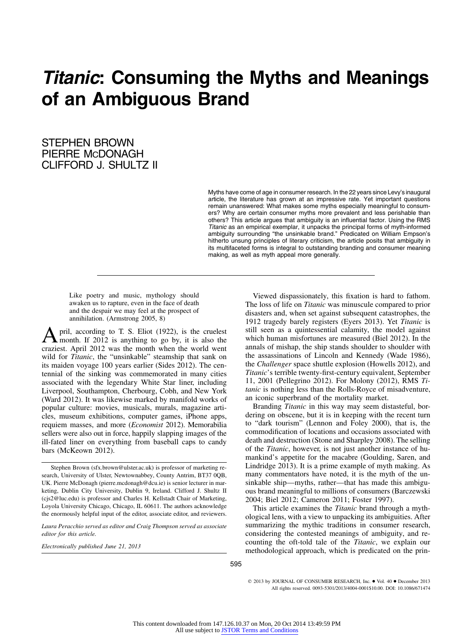# *Titanic***: Consuming the Myths and Meanings of an Ambiguous Brand**

STEPHEN BROWN PIERRE MCDONAGH CLIFFORD J. SHULTZ II

> Myths have come of age in consumer research. In the 22 years since Levy's inaugural article, the literature has grown at an impressive rate. Yet important questions remain unanswered: What makes some myths especially meaningful to consumers? Why are certain consumer myths more prevalent and less perishable than others? This article argues that ambiguity is an influential factor. Using the RMS *Titanic* as an empirical exemplar, it unpacks the principal forms of myth-informed ambiguity surrounding "the unsinkable brand." Predicated on William Empson's hitherto unsung principles of literary criticism, the article posits that ambiguity in its multifaceted forms is integral to outstanding branding and consumer meaning making, as well as myth appeal more generally.

Like poetry and music, mythology should awaken us to rapture, even in the face of death and the despair we may feel at the prospect of annihilation. (Armstrong 2005, 8)

pril, according to T. S. Eliot  $(1922)$ , is the cruelest month. If 2012 is anything to go by, it is also the craziest. April 2012 was the month when the world went wild for *Titanic*, the "unsinkable" steamship that sank on its maiden voyage 100 years earlier (Sides 2012). The centennial of the sinking was commemorated in many cities associated with the legendary White Star liner, including Liverpool, Southampton, Cherbourg, Cobh, and New York (Ward 2012). It was likewise marked by manifold works of popular culture: movies, musicals, murals, magazine articles, museum exhibitions, computer games, iPhone apps, requiem masses, and more (*Economist* 2012). Memorabilia sellers were also out in force, happily slapping images of the ill-fated liner on everything from baseball caps to candy bars (McKeown 2012).

*Laura Peracchio served as editor and Craig Thompson served as associate editor for this article.*

*Electronically published June 21, 2013*

Viewed dispassionately, this fixation is hard to fathom. The loss of life on *Titanic* was minuscule compared to prior disasters and, when set against subsequent catastrophes, the 1912 tragedy barely registers (Eyers 2013). Yet *Titanic* is still seen as a quintessential calamity, the model against which human misfortunes are measured (Biel 2012). In the annals of mishap, the ship stands shoulder to shoulder with the assassinations of Lincoln and Kennedy (Wade 1986), the *Challenger* space shuttle explosion (Howells 2012), and *Titanic*'s terrible twenty-first-century equivalent, September 11, 2001 (Pellegrino 2012). For Molony (2012), RMS *Titanic* is nothing less than the Rolls-Royce of misadventure, an iconic superbrand of the mortality market.

Branding *Titanic* in this way may seem distasteful, bordering on obscene, but it is in keeping with the recent turn to "dark tourism" (Lennon and Foley 2000), that is, the commodification of locations and occasions associated with death and destruction (Stone and Sharpley 2008). The selling of the *Titanic*, however, is not just another instance of humankind's appetite for the macabre (Goulding, Saren, and Lindridge 2013). It is a prime example of myth making. As many commentators have noted, it is the myth of the unsinkable ship—myths, rather—that has made this ambiguous brand meaningful to millions of consumers (Barczewski 2004; Biel 2012; Cameron 2011; Foster 1997).

This article examines the *Titanic* brand through a mythological lens, with a view to unpacking its ambiguities. After summarizing the mythic traditions in consumer research, considering the contested meanings of ambiguity, and recounting the oft-told tale of the *Titanic*, we explain our methodological approach, which is predicated on the prin-

595

Stephen Brown [\(sfx.brown@ulster.ac.uk\)](mailto:sfx.brown@ulster.ac.uk) is professor of marketing research, University of Ulster, Newtownabbey, County Antrim, BT37 0QB, UK. Pierre McDonagh [\(pierre.mcdonagh@dcu.ie\)](mailto:pierre.mcdonagh@dcu.ie) is senior lecturer in marketing, Dublin City University, Dublin 9, Ireland. Clifford J. Shultz II [\(cjs2@luc.edu\)](mailto:cjs2@luc.edu) is professor and Charles H. Kellstadt Chair of Marketing, Loyola University Chicago, Chicago, IL 60611. The authors acknowledge the enormously helpful input of the editor, associate editor, and reviewers.

<sup>© 2013</sup> by JOURNAL OF CONSUMER RESEARCH, Inc. • Vol. 40 • December 2013 All rights reserved. 0093-5301/2013/4004-0001\$10.00. DOI: 10.1086/671474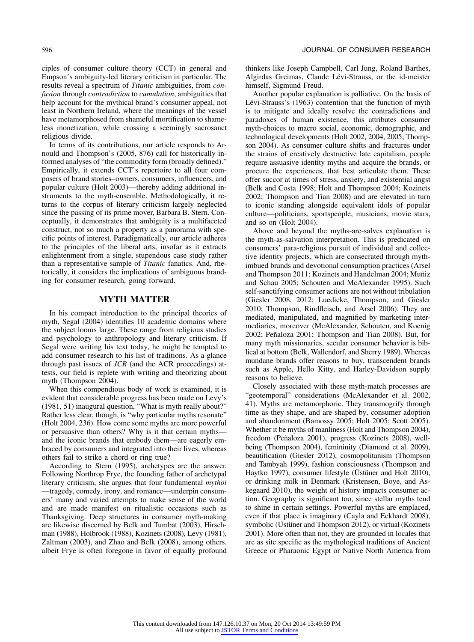ciples of consumer culture theory (CCT) in general and Empson's ambiguity-led literary criticism in particular. The results reveal a spectrum of *Titanic* ambiguities, from *confusion* through *contradiction* to *cumulation*, ambiguities that help account for the mythical brand's consumer appeal, not least in Northern Ireland, where the meanings of the vessel have metamorphosed from shameful mortification to shameless monetization, while crossing a seemingly sacrosanct religious divide.

In terms of its contributions, our article responds to Arnould and Thompson's (2005, 876) call for historically informed analyses of "the commodity form (broadly defined)." Empirically, it extends CCT's repertoire to all four composers of brand stories–owners, consumers, influencers, and popular culture (Holt 2003)—thereby adding additional instruments to the myth-ensemble. Methodologically, it returns to the corpus of literary criticism largely neglected since the passing of its prime mover, Barbara B. Stern. Conceptually, it demonstrates that ambiguity is a multifaceted construct, not so much a property as a panorama with specific points of interest. Paradigmatically, our article adheres to the principles of the liberal arts, insofar as it extracts enlightenment from a single, stupendous case study rather than a representative sample of *Titanic* fanatics. And, rhetorically, it considers the implications of ambiguous branding for consumer research, going forward.

#### **MYTH MATTER**

In his compact introduction to the principal theories of myth, Segal (2004) identifies 10 academic domains where the subject looms large. These range from religious studies and psychology to anthropology and literary criticism. If Segal were writing his text today, he might be tempted to add consumer research to his list of traditions. As a glance through past issues of *JCR* (and the ACR proceedings) attests, our field is replete with writing and theorizing about myth (Thompson 2004).

When this compendious body of work is examined, it is evident that considerable progress has been made on Levy's (1981, 51) inaugural question, "What is myth really about?" Rather less clear, though, is "why particular myths resonate" (Holt 2004, 236). How come some myths are more powerful or persuasive than others? Why is it that certain myths and the iconic brands that embody them—are eagerly embraced by consumers and integrated into their lives, whereas others fail to strike a chord or ring true?

According to Stern (1995), archetypes are the answer. Following Northrop Frye, the founding father of archetypal literary criticism, she argues that four fundamental *mythoi* —tragedy, comedy, irony, and romance—underpin consumers' many and varied attempts to make sense of the world and are made manifest on ritualistic occasions such as Thanksgiving. Deep structures in consumer myth-making are likewise discerned by Belk and Tumbat (2003), Hirschman (1988), Holbrook (1988), Kozinets (2008), Levy (1981), Zaltman (2003), and Zhao and Belk (2008), among others, albeit Frye is often foregone in favor of equally profound

thinkers like Joseph Campbell, Carl Jung, Roland Barthes, Algirdas Greimas, Claude Lévi-Strauss, or the id-meister himself, Sigmund Freud.

Another popular explanation is palliative. On the basis of Lévi-Strauss's (1963) contention that the function of myth is to mitigate and ideally resolve the contradictions and paradoxes of human existence, this attributes consumer myth-choices to macro social, economic, demographic, and technological developments (Holt 2002, 2004, 2005; Thompson 2004). As consumer culture shifts and fractures under the strains of creatively destructive late capitalism, people require assuasive identity myths and acquire the brands, or procure the experiences, that best articulate them. These offer succor at times of stress, anxiety, and existential angst (Belk and Costa 1998; Holt and Thompson 2004; Kozinets 2002; Thompson and Tian 2008) and are elevated in turn to iconic standing alongside equivalent idols of popular culture—politicians, sportspeople, musicians, movie stars, and so on (Holt 2004).

Above and beyond the myths-are-salves explanation is the myth-as-salvation interpretation. This is predicated on consumers' para-religious pursuit of individual and collective identity projects, which are consecrated through mythimbued brands and devotional consumption practices (Arsel and Thompson 2011; Kozinets and Handelman 2004; Muñiz and Schau 2005; Schouten and McAlexander 1995). Such self-sanctifying consumer actions are not without tribulation (Giesler 2008, 2012; Luedicke, Thompson, and Giesler 2010; Thompson, Rindfleisch, and Arsel 2006). They are mediated, manipulated, and magnified by marketing intermediaries, moreover (McAlexander, Schouten, and Koenig 2002; Peñaloza 2001; Thompson and Tian 2008). But, for many myth missionaries, secular consumer behavior is biblical at bottom (Belk, Wallendorf, and Sherry 1989). Whereas mundane brands offer reasons to buy, transcendent brands such as Apple, Hello Kitty, and Harley-Davidson supply reasons to believe.

Closely associated with these myth-match processes are "geotemporal" considerations (McAlexander et al. 2002, 41). Myths are metamorphoric. They transmogrify through time as they shape, and are shaped by, consumer adoption and abandonment (Bamossy 2005; Holt 2005; Scott 2005). Whether it be myths of manliness (Holt and Thompson 2004), freedom (Peñaloza 2001), progress (Kozinets 2008), wellbeing (Thompson 2004), femininity (Diamond et al. 2009), beautification (Giesler 2012), cosmopolitanism (Thompson and Tambyah 1999), fashion consciousness (Thompson and Haytko 1997), consumer lifestyle (Üstüner and Holt 2010), or drinking milk in Denmark (Kristensen, Boye, and Askegaard 2010), the weight of history impacts consumer action. Geography is significant too, since stellar myths tend to shine in certain settings. Powerful myths are emplaced, even if that place is imaginary (Cayla and Eckhardt 2008), symbolic ( $\ddot{\text{U}}$ stüner and Thompson 2012), or virtual (Kozinets 2001). More often than not, they are grounded in locales that are as site specific as the mythological traditions of Ancient Greece or Pharaonic Egypt or Native North America from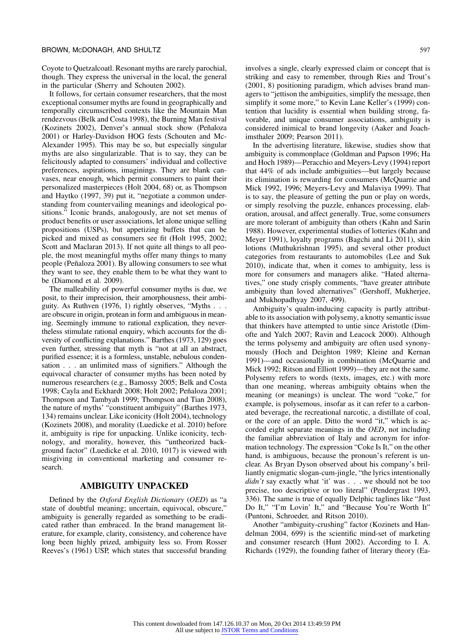Coyote to Quetzalcoatl. Resonant myths are rarely parochial, though. They express the universal in the local, the general in the particular (Sherry and Schouten 2002).

It follows, for certain consumer researchers, that the most exceptional consumer myths are found in geographically and temporally circumscribed contexts like the Mountain Man rendezvous (Belk and Costa 1998), the Burning Man festival (Kozinets 2002), Denver's annual stock show (Peñaloza 2001) or Harley-Davidson HOG fests (Schouten and Mc-Alexander 1995). This may be so, but especially singular myths are also singularizable. That is to say, they can be felicitously adapted to consumers' individual and collective preferences, aspirations, imaginings. They are blank canvases, near enough, which permit consumers to paint their personalized masterpieces (Holt 2004, 68) or, as Thompson and Haytko (1997, 39) put it, "negotiate a common understanding from countervailing meanings and ideological positions." Iconic brands, analogously, are not set menus of product benefits or user associations, let alone unique selling propositions (USPs), but appetizing buffets that can be picked and mixed as consumers see fit (Holt 1995, 2002; Scott and Maclaran 2013). If not quite all things to all people, the most meaningful myths offer many things to many people (Peñaloza 2001). By allowing consumers to see what they want to see, they enable them to be what they want to be (Diamond et al. 2009).

The malleability of powerful consumer myths is due, we posit, to their imprecision, their amorphousness, their ambiguity. As Ruthven (1976, 1) rightly observes, "Myths . . . are obscure in origin, protean in form and ambiguous in meaning. Seemingly immune to rational explication, they nevertheless stimulate rational enquiry, which accounts for the diversity of conflicting explanations." Barthes (1973, 129) goes even further, stressing that myth is "not at all an abstract, purified essence; it is a formless, unstable, nebulous condensation . . . an unlimited mass of signifiers." Although the equivocal character of consumer myths has been noted by numerous researchers (e.g., Bamossy 2005; Belk and Costa 1998; Cayla and Eckhardt 2008; Holt 2002; Peñaloza 2001; Thompson and Tambyah 1999; Thompson and Tian 2008), the nature of myths' "constituent ambiguity" (Barthes 1973, 134) remains unclear. Like iconicity (Holt 2004), technology (Kozinets 2008), and morality (Luedicke et al. 2010) before it, ambiguity is ripe for unpacking. Unlike iconicity, technology, and morality, however, this "untheorized background factor" (Luedicke et al. 2010, 1017) is viewed with misgiving in conventional marketing and consumer research.

#### **AMBIGUITY UNPACKED**

Defined by the *Oxford English Dictionary* (*OED*) as "a state of doubtful meaning; uncertain, equivocal, obscure," ambiguity is generally regarded as something to be eradicated rather than embraced. In the brand management literature, for example, clarity, consistency, and coherence have long been highly prized, ambiguity less so. From Rosser Reeves's (1961) USP, which states that successful branding

involves a single, clearly expressed claim or concept that is striking and easy to remember, through Ries and Trout's (2001, 8) positioning paradigm, which advises brand managers to "jettison the ambiguities, simplify the message, then simplify it some more," to Kevin Lane Keller's (1999) contention that lucidity is essential when building strong, favorable, and unique consumer associations, ambiguity is considered inimical to brand longevity (Aaker and Joachimsthaler 2009; Pearson 2011).

In the advertising literature, likewise, studies show that ambiguity is commonplace (Goldman and Papson 1996; Ha and Hoch 1989)—Peracchio and Meyers-Levy (1994) report that 44% of ads include ambiguities—but largely because its elimination is rewarding for consumers (McQuarrie and Mick 1992, 1996; Meyers-Levy and Malaviya 1999). That is to say, the pleasure of getting the pun or play on words, or simply resolving the puzzle, enhances processing, elaboration, arousal, and affect generally. True, some consumers are more tolerant of ambiguity than others (Kahn and Sarin 1988). However, experimental studies of lotteries (Kahn and Meyer 1991), loyalty programs (Bagchi and Li 2011), skin lotions (Muthukrishnan 1995), and several other product categories from restaurants to automobiles (Lee and Suk 2010), indicate that, when it comes to ambiguity, less is more for consumers and managers alike. "Hated alternatives," one study crisply comments, "have greater attribute ambiguity than loved alternatives" (Gershoff, Mukherjee, and Mukhopadhyay 2007, 499).

Ambiguity's qualm-inducing capacity is partly attributable to its association with polysemy, a knotty semantic issue that thinkers have attempted to untie since Aristotle (Dimofte and Yalch 2007; Ravin and Leacock 2000). Although the terms polysemy and ambiguity are often used synonymously (Hoch and Deighton 1989; Kleine and Kernan 1991)—and occasionally in combination (McQuarrie and Mick 1992; Ritson and Elliott 1999)—they are not the same. Polysemy refers to words (texts, images, etc.) with more than one meaning, whereas ambiguity obtains when the meaning (or meanings) is unclear. The word "coke," for example, is polysemous, insofar as it can refer to a carbonated beverage, the recreational narcotic, a distillate of coal, or the core of an apple. Ditto the word "it," which is accorded eight separate meanings in the *OED*, not including the familiar abbreviation of Italy and acronym for information technology. The expression "Coke Is It," on the other hand, is ambiguous, because the pronoun's referent is unclear. As Bryan Dyson observed about his company's brilliantly enigmatic slogan-cum-jingle, "the lyrics intentionally *didn't* say exactly what 'it' was . . . we should not be too precise, too descriptive or too literal" (Pendergrast 1993, 336). The same is true of equally Delphic taglines like "Just Do It," "I'm Lovin' It," and "Because You're Worth It" (Puntoni, Schroeder, and Ritson 2010).

Another "ambiguity-crushing" factor (Kozinets and Handelman 2004, 699) is the scientific mind-set of marketing and consumer research (Hunt 2002). According to I. A. Richards (1929), the founding father of literary theory (Ea-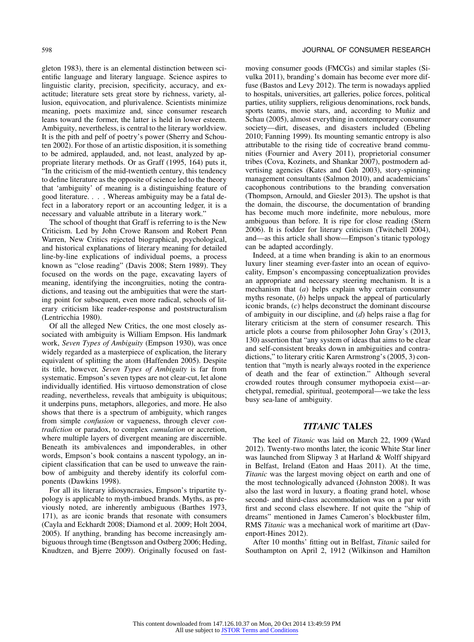gleton 1983), there is an elemental distinction between scientific language and literary language. Science aspires to linguistic clarity, precision, specificity, accuracy, and exactitude; literature sets great store by richness, variety, allusion, equivocation, and plurivalence. Scientists minimize meaning, poets maximize and, since consumer research leans toward the former, the latter is held in lower esteem. Ambiguity, nevertheless, is central to the literary worldview. It is the pith and pelf of poetry's power (Sherry and Schouten 2002). For those of an artistic disposition, it is something to be admired, applauded, and, not least, analyzed by appropriate literary methods. Or as Graff (1995, 164) puts it, "In the criticism of the mid-twentieth century, this tendency to define literature as the opposite of science led to the theory that 'ambiguity' of meaning is a distinguishing feature of good literature. . . . Whereas ambiguity may be a fatal defect in a laboratory report or an accounting ledger, it is a necessary and valuable attribute in a literary work."

The school of thought that Graff is referring to is the New Criticism. Led by John Crowe Ransom and Robert Penn Warren, New Critics rejected biographical, psychological, and historical explanations of literary meaning for detailed line-by-line explications of individual poems, a process known as "close reading" (Davis 2008; Stern 1989). They focused on the words on the page, excavating layers of meaning, identifying the incongruities, noting the contradictions, and teasing out the ambiguities that were the starting point for subsequent, even more radical, schools of literary criticism like reader-response and poststructuralism (Lentricchia 1980).

Of all the alleged New Critics, the one most closely associated with ambiguity is William Empson. His landmark work, *Seven Types of Ambiguity* (Empson 1930), was once widely regarded as a masterpiece of explication, the literary equivalent of splitting the atom (Haffenden 2005). Despite its title, however, *Seven Types of Ambiguity* is far from systematic. Empson's seven types are not clear-cut, let alone individually identified. His virtuoso demonstration of close reading, nevertheless, reveals that ambiguity is ubiquitous; it underpins puns, metaphors, allegories, and more. He also shows that there is a spectrum of ambiguity, which ranges from simple *confusion* or vagueness, through clever *contradiction* or paradox, to complex *cumulation* or accretion, where multiple layers of divergent meaning are discernible. Beneath its ambivalences and imponderables, in other words, Empson's book contains a nascent typology, an incipient classification that can be used to unweave the rainbow of ambiguity and thereby identify its colorful components (Dawkins 1998).

For all its literary idiosyncrasies, Empson's tripartite typology is applicable to myth-imbued brands. Myths, as previously noted, are inherently ambiguous (Barthes 1973, 171), as are iconic brands that resonate with consumers (Cayla and Eckhardt 2008; Diamond et al. 2009; Holt 2004, 2005). If anything, branding has become increasingly ambiguous through time (Bengtsson and Ostberg 2006; Heding, Knudtzen, and Bjerre 2009). Originally focused on fast-

moving consumer goods (FMCGs) and similar staples (Sivulka 2011), branding's domain has become ever more diffuse (Bastos and Levy 2012). The term is nowadays applied to hospitals, universities, art galleries, police forces, political parties, utility suppliers, religious denominations, rock bands, sports teams, movie stars, and, according to Muñiz and Schau (2005), almost everything in contemporary consumer society—dirt, diseases, and disasters included (Ebeling 2010; Fanning 1999). Its mounting semantic entropy is also attributable to the rising tide of cocreative brand communities (Fournier and Avery 2011), proprietorial consumer tribes (Cova, Kozinets, and Shankar 2007), postmodern advertising agencies (Kates and Goh 2003), story-spinning management consultants (Salmon 2010), and academicians' cacophonous contributions to the branding conversation (Thompson, Arnould, and Giesler 2013). The upshot is that the domain, the discourse, the documentation of branding has become much more indefinite, more nebulous, more ambiguous than before. It is ripe for close reading (Stern 2006). It is fodder for literary criticism (Twitchell 2004), and—as this article shall show—Empson's titanic typology can be adapted accordingly.

Indeed, at a time when branding is akin to an enormous luxury liner steaming ever-faster into an ocean of equivocality, Empson's encompassing conceptualization provides an appropriate and necessary steering mechanism. It is a mechanism that (*a*) helps explain why certain consumer myths resonate, (*b*) helps unpack the appeal of particularly iconic brands, (*c*) helps deconstruct the dominant discourse of ambiguity in our discipline, and (*d*) helps raise a flag for literary criticism at the stern of consumer research. This article plots a course from philosopher John Gray's (2013, 130) assertion that "any system of ideas that aims to be clear and self-consistent breaks down in ambiguities and contradictions," to literary critic Karen Armstrong's (2005, 3) contention that "myth is nearly always rooted in the experience of death and the fear of extinction." Although several crowded routes through consumer mythopoeia exist—archetypal, remedial, spiritual, geotemporal—we take the less busy sea-lane of ambiguity.

## *TITANIC* **TALES**

The keel of *Titanic* was laid on March 22, 1909 (Ward 2012). Twenty-two months later, the iconic White Star liner was launched from Slipway 3 at Harland & Wolff shipyard in Belfast, Ireland (Eaton and Haas 2011). At the time, *Titanic* was the largest moving object on earth and one of the most technologically advanced (Johnston 2008). It was also the last word in luxury, a floating grand hotel, whose second- and third-class accommodation was on a par with first and second class elsewhere. If not quite the "ship of dreams" mentioned in James Cameron's blockbuster film, RMS *Titanic* was a mechanical work of maritime art (Davenport-Hines 2012).

After 10 months' fitting out in Belfast, *Titanic* sailed for Southampton on April 2, 1912 (Wilkinson and Hamilton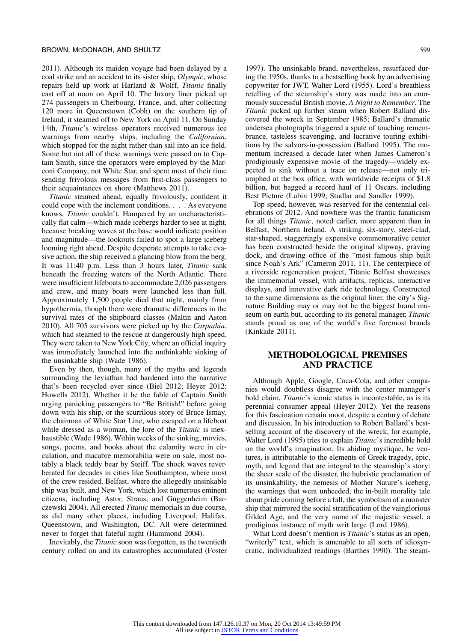2011). Although its maiden voyage had been delayed by a coal strike and an accident to its sister ship, *Olympic*, whose repairs held up work at Harland & Wolff, *Titanic* finally cast off at noon on April 10. The luxury liner picked up 274 passengers in Cherbourg, France, and, after collecting 120 more in Queenstown (Cobh) on the southern tip of Ireland, it steamed off to New York on April 11. On Sunday 14th, *Titanic*'s wireless operators received numerous ice warnings from nearby ships, including the *Californian*, which stopped for the night rather than sail into an ice field. Some but not all of these warnings were passed on to Captain Smith, since the operators were employed by the Marconi Company, not White Star, and spent most of their time sending frivolous messages from first-class passengers to their acquaintances on shore (Matthews 2011).

*Titanic* steamed ahead, equally frivolously, confident it could cope with the inclement conditions. . . . As everyone knows, *Titanic* couldn't. Hampered by an uncharacteristically flat calm—which made icebergs harder to see at night, because breaking waves at the base would indicate position and magnitude—the lookouts failed to spot a large iceberg looming right ahead. Despite desperate attempts to take evasive action, the ship received a glancing blow from the berg. It was 11:40 p.m. Less than 3 hours later, *Titanic* sank beneath the freezing waters of the North Atlantic. There were insufficient lifeboats to accommodate 2,026 passengers and crew, and many boats were launched less than full. Approximately 1,500 people died that night, mainly from hypothermia, though there were dramatic differences in the survival rates of the shipboard classes (Maltin and Aston 2010). All 705 survivors were picked up by the *Carpathia*, which had steamed to the rescue at dangerously high speed. They were taken to New York City, where an official inquiry was immediately launched into the unthinkable sinking of the unsinkable ship (Wade 1986).

Even by then, though, many of the myths and legends surrounding the leviathan had hardened into the narrative that's been recycled ever since (Biel 2012; Heyer 2012; Howells 2012). Whether it be the fable of Captain Smith urging panicking passengers to "Be British!" before going down with his ship, or the scurrilous story of Bruce Ismay, the chairman of White Star Line, who escaped on a lifeboat while dressed as a woman, the lore of the *Titanic* is inexhaustible (Wade 1986). Within weeks of the sinking, movies, songs, poems, and books about the calamity were in circulation, and macabre memorabilia were on sale, most notably a black teddy bear by Steiff. The shock waves reverberated for decades in cities like Southampton, where most of the crew resided, Belfast, where the allegedly unsinkable ship was built, and New York, which lost numerous eminent citizens, including Astor, Straus, and Guggenheim (Barczewski 2004). All erected *Titanic* memorials in due course, as did many other places, including Liverpool, Halifax, Queenstown, and Washington, DC. All were determined never to forget that fateful night (Hammond 2004).

Inevitably, the *Titanic* soon was forgotten, as the twentieth century rolled on and its catastrophes accumulated (Foster

1997). The unsinkable brand, nevertheless, resurfaced during the 1950s, thanks to a bestselling book by an advertising copywriter for JWT, Walter Lord (1955). Lord's breathless retelling of the steamship's story was made into an enormously successful British movie, *A Night to Remember*. The *Titanic* picked up further steam when Robert Ballard discovered the wreck in September 1985; Ballard's dramatic undersea photographs triggered a spate of touching remembrance, tasteless scavenging, and lucrative touring exhibitions by the salvors-in-possession (Ballard 1995). The momentum increased a decade later when James Cameron's prodigiously expensive movie of the tragedy—widely expected to sink without a trace on release—not only triumphed at the box office, with worldwide receipts of \$1.8 billion, but bagged a record haul of 11 Oscars, including Best Picture (Lubin 1999; Studlar and Sandler 1999).

Top speed, however, was reserved for the centennial celebrations of 2012. And nowhere was the frantic fanaticism for all things *Titanic*, noted earlier, more apparent than in Belfast, Northern Ireland. A striking, six-story, steel-clad, star-shaped, staggeringly expensive commemorative center has been constructed beside the original slipway, graving dock, and drawing office of the "most famous ship built since Noah's Ark" (Cameron 2011, 11). The centerpiece of a riverside regeneration project, Titanic Belfast showcases the immemorial vessel, with artifacts, replicas, interactive displays, and innovative dark ride technology. Constructed to the same dimensions as the original liner, the city's Signature Building may or may not be the biggest brand museum on earth but, according to its general manager, *Titanic* stands proud as one of the world's five foremost brands (Kinkade 2011).

#### **METHODOLOGICAL PREMISES AND PRACTICE**

Although Apple, Google, Coca-Cola, and other companies would doubtless disagree with the center manager's bold claim, *Titanic*'s iconic status is incontestable, as is its perennial consumer appeal (Heyer 2012). Yet the reasons for this fascination remain moot, despite a century of debate and discussion. In his introduction to Robert Ballard's bestselling account of the discovery of the wreck, for example, Walter Lord (1995) tries to explain *Titanic*'s incredible hold on the world's imagination. Its abiding mystique, he ventures, is attributable to the elements of Greek tragedy, epic, myth, and legend that are integral to the steamship's story: the sheer scale of the disaster, the hubristic proclamation of its unsinkability, the nemesis of Mother Nature's iceberg, the warnings that went unheeded, the in-built morality tale about pride coming before a fall, the symbolism of a monster ship that mirrored the social stratification of the vainglorious Gilded Age, and the very name of the majestic vessel, a prodigious instance of myth writ large (Lord 1986).

What Lord doesn't mention is *Titanic*'s status as an open, "writerly" text, which is amenable to all sorts of idiosyncratic, individualized readings (Barthes 1990). The steam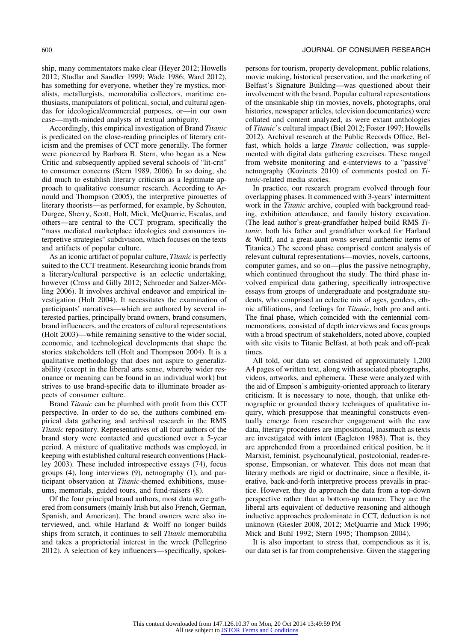ship, many commentators make clear (Heyer 2012; Howells 2012; Studlar and Sandler 1999; Wade 1986; Ward 2012), has something for everyone, whether they're mystics, moralists, metallurgists, memorabilia collectors, maritime enthusiasts, manipulators of political, social, and cultural agendas for ideological/commercial purposes, or—in our own case—myth-minded analysts of textual ambiguity.

Accordingly, this empirical investigation of Brand *Titanic* is predicated on the close-reading principles of literary criticism and the premises of CCT more generally. The former were pioneered by Barbara B. Stern, who began as a New Critic and subsequently applied several schools of "lit-crit" to consumer concerns (Stern 1989, 2006). In so doing, she did much to establish literary criticism as a legitimate approach to qualitative consumer research. According to Arnould and Thompson (2005), the interpretive pirouettes of literary theorists—as performed, for example, by Schouten, Durgee, Sherry, Scott, Holt, Mick, McQuarrie, Escalas, and others—are central to the CCT program, specifically the "mass mediated marketplace ideologies and consumers interpretive strategies" subdivision, which focuses on the texts and artifacts of popular culture.

As an iconic artifact of popular culture, *Titanic* is perfectly suited to the CCT treatment. Researching iconic brands from a literary/cultural perspective is an eclectic undertaking, however (Cross and Gilly 2012; Schroeder and Salzer-Mörling 2006). It involves archival endeavor and empirical investigation (Holt 2004). It necessitates the examination of participants' narratives—which are authored by several interested parties, principally brand owners, brand consumers, brand influencers, and the creators of cultural representations (Holt 2003)—while remaining sensitive to the wider social, economic, and technological developments that shape the stories stakeholders tell (Holt and Thompson 2004). It is a qualitative methodology that does not aspire to generalizability (except in the liberal arts sense, whereby wider resonance or meaning can be found in an individual work) but strives to use brand-specific data to illuminate broader aspects of consumer culture.

Brand *Titanic* can be plumbed with profit from this CCT perspective. In order to do so, the authors combined empirical data gathering and archival research in the RMS *Titanic* repository. Representatives of all four authors of the brand story were contacted and questioned over a 5-year period. A mixture of qualitative methods was employed, in keeping with established cultural research conventions (Hackley 2003). These included introspective essays (74), focus groups (4), long interviews (9), netnography (1), and participant observation at *Titanic*-themed exhibitions, museums, memorials, guided tours, and fund-raisers (8).

Of the four principal brand authors, most data were gathered from consumers (mainly Irish but also French, German, Spanish, and American). The brand owners were also interviewed, and, while Harland & Wolff no longer builds ships from scratch, it continues to sell *Titanic* memorabilia and takes a proprietorial interest in the wreck (Pellegrino 2012). A selection of key influencers—specifically, spokespersons for tourism, property development, public relations, movie making, historical preservation, and the marketing of Belfast's Signature Building—was questioned about their involvement with the brand. Popular cultural representations of the unsinkable ship (in movies, novels, photographs, oral histories, newspaper articles, television documentaries) were collated and content analyzed, as were extant anthologies of *Titanic*'s cultural impact (Biel 2012; Foster 1997; Howells 2012). Archival research at the Public Records Office, Belfast, which holds a large *Titanic* collection, was supplemented with digital data gathering exercises. These ranged from website monitoring and e-interviews to a "passive" netnography (Kozinets 2010) of comments posted on *Titanic*-related media stories.

In practice, our research program evolved through four overlapping phases. It commenced with 3-years' intermittent work in the *Titanic* archive, coupled with background reading, exhibition attendance, and family history excavation. (The lead author's great-grandfather helped build RMS *Titanic*, both his father and grandfather worked for Harland & Wolff, and a great-aunt owns several authentic items of Titanica.) The second phase comprised content analysis of relevant cultural representations—movies, novels, cartoons, computer games, and so on—plus the passive netnography, which continued throughout the study. The third phase involved empirical data gathering, specifically introspective essays from groups of undergraduate and postgraduate students, who comprised an eclectic mix of ages, genders, ethnic affiliations, and feelings for *Titanic*, both pro and anti. The final phase, which coincided with the centennial commemorations, consisted of depth interviews and focus groups with a broad spectrum of stakeholders, noted above, coupled with site visits to Titanic Belfast, at both peak and off-peak times.

All told, our data set consisted of approximately 1,200 A4 pages of written text, along with associated photographs, videos, artworks, and ephemera. These were analyzed with the aid of Empson's ambiguity-oriented approach to literary criticism. It is necessary to note, though, that unlike ethnographic or grounded theory techniques of qualitative inquiry, which presuppose that meaningful constructs eventually emerge from researcher engagement with the raw data, literary procedures are impositional, inasmuch as texts are investigated with intent (Eagleton 1983). That is, they are apprehended from a preordained critical position, be it Marxist, feminist, psychoanalytical, postcolonial, reader-response, Empsonian, or whatever. This does not mean that literary methods are rigid or doctrinaire, since a flexible, iterative, back-and-forth interpretive process prevails in practice. However, they do approach the data from a top-down perspective rather than a bottom-up manner. They are the liberal arts equivalent of deductive reasoning and although inductive approaches predominate in CCT, deduction is not unknown (Giesler 2008, 2012; McQuarrie and Mick 1996; Mick and Buhl 1992; Stern 1995; Thompson 2004).

It is also important to stress that, compendious as it is, our data set is far from comprehensive. Given the staggering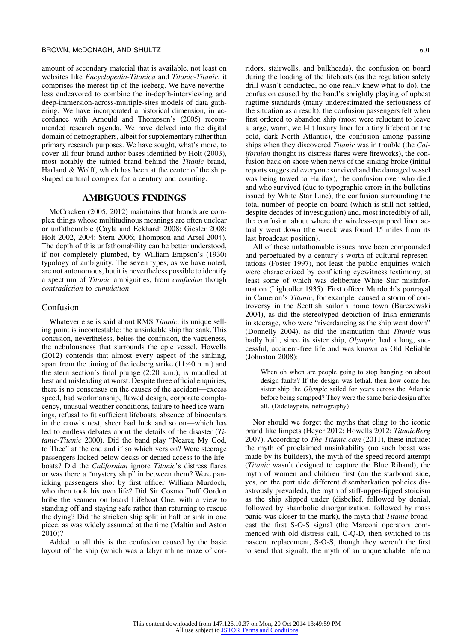#### BROWN, McDONAGH, AND SHULTZ 601

amount of secondary material that is available, not least on websites like *Encyclopedia-Titanica* and *Titanic-Titanic*, it comprises the merest tip of the iceberg. We have nevertheless endeavored to combine the in-depth-interviewing and deep-immersion-across-multiple-sites models of data gathering. We have incorporated a historical dimension, in accordance with Arnould and Thompson's (2005) recommended research agenda. We have delved into the digital domain of netnographers, albeit for supplementary rather than primary research purposes. We have sought, what's more, to cover all four brand author bases identified by Holt (2003), most notably the tainted brand behind the *Titanic* brand, Harland & Wolff, which has been at the center of the shipshaped cultural complex for a century and counting.

#### **AMBIGUOUS FINDINGS**

McCracken (2005, 2012) maintains that brands are complex things whose multitudinous meanings are often unclear or unfathomable (Cayla and Eckhardt 2008; Giesler 2008; Holt 2002, 2004; Stern 2006; Thompson and Arsel 2004). The depth of this unfathomability can be better understood, if not completely plumbed, by William Empson's (1930) typology of ambiguity. The seven types, as we have noted, are not autonomous, but it is nevertheless possible to identify a spectrum of *Titanic* ambiguities, from *confusion* though *contradiction* to *cumulation*.

#### Confusion

Whatever else is said about RMS *Titanic*, its unique selling point is incontestable: the unsinkable ship that sank. This concision, nevertheless, belies the confusion, the vagueness, the nebulousness that surrounds the epic vessel. Howells (2012) contends that almost every aspect of the sinking, apart from the timing of the iceberg strike (11:40 p.m.) and the stern section's final plunge (2:20 a.m.), is muddled at best and misleading at worst. Despite three official enquiries, there is no consensus on the causes of the accident—excess speed, bad workmanship, flawed design, corporate complacency, unusual weather conditions, failure to heed ice warnings, refusal to fit sufficient lifeboats, absence of binoculars in the crow's nest, sheer bad luck and so on—which has led to endless debates about the details of the disaster (*Titanic-Titanic* 2000). Did the band play "Nearer, My God, to Thee" at the end and if so which version? Were steerage passengers locked below decks or denied access to the lifeboats? Did the *Californian* ignore *Titanic*'s distress flares or was there a "mystery ship" in between them? Were panicking passengers shot by first officer William Murdoch, who then took his own life? Did Sir Cosmo Duff Gordon bribe the seamen on board Lifeboat One, with a view to standing off and staying safe rather than returning to rescue the dying? Did the stricken ship split in half or sink in one piece, as was widely assumed at the time (Maltin and Aston 2010)?

Added to all this is the confusion caused by the basic layout of the ship (which was a labyrinthine maze of corridors, stairwells, and bulkheads), the confusion on board during the loading of the lifeboats (as the regulation safety drill wasn't conducted, no one really knew what to do), the confusion caused by the band's sprightly playing of upbeat ragtime standards (many underestimated the seriousness of the situation as a result), the confusion passengers felt when first ordered to abandon ship (most were reluctant to leave a large, warm, well-lit luxury liner for a tiny lifeboat on the cold, dark North Atlantic), the confusion among passing ships when they discovered *Titanic* was in trouble (the *Californian* thought its distress flares were fireworks), the confusion back on shore when news of the sinking broke (initial reports suggested everyone survived and the damaged vessel was being towed to Halifax), the confusion over who died and who survived (due to typographic errors in the bulletins issued by White Star Line), the confusion surrounding the total number of people on board (which is still not settled, despite decades of investigation) and, most incredibly of all, the confusion about where the wireless-equipped liner actually went down (the wreck was found 15 miles from its last broadcast position).

All of these unfathomable issues have been compounded and perpetuated by a century's worth of cultural representations (Foster 1997), not least the public enquiries which were characterized by conflicting eyewitness testimony, at least some of which was deliberate White Star misinformation (Lightoller 1935). First officer Murdoch's portrayal in Cameron's *Titanic*, for example, caused a storm of controversy in the Scottish sailor's home town (Barczewski 2004), as did the stereotyped depiction of Irish emigrants in steerage, who were "riverdancing as the ship went down" (Donnelly 2004), as did the insinuation that *Titanic* was badly built, since its sister ship, *Olympic*, had a long, successful, accident-free life and was known as Old Reliable (Johnston 2008):

When oh when are people going to stop banging on about design faults? If the design was lethal, then how come her sister ship the *Olympic* sailed for years across the Atlantic before being scrapped? They were the same basic design after all. (Diddleypete, netnography)

Nor should we forget the myths that cling to the iconic brand like limpets (Heyer 2012; Howells 2012; *TitanicBerg* 2007). According to *The-Titanic.com* (2011), these include: the myth of proclaimed unsinkability (no such boast was made by its builders), the myth of the speed record attempt (*Titanic* wasn't designed to capture the Blue Riband), the myth of women and children first (on the starboard side, yes, on the port side different disembarkation policies disastrously prevailed), the myth of stiff-upper-lipped stoicism as the ship slipped under (disbelief, followed by denial, followed by shambolic disorganization, followed by mass panic was closer to the mark), the myth that *Titanic* broadcast the first S-O-S signal (the Marconi operators commenced with old distress call, C-Q-D, then switched to its nascent replacement, S-O-S, though they weren't the first to send that signal), the myth of an unquenchable inferno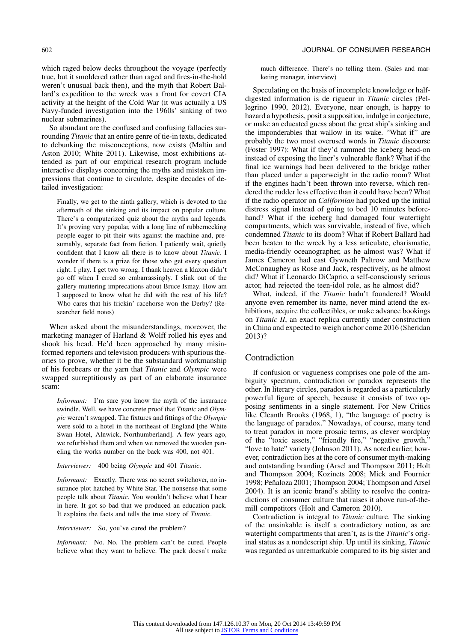which raged below decks throughout the voyage (perfectly true, but it smoldered rather than raged and fires-in-the-hold weren't unusual back then), and the myth that Robert Ballard's expedition to the wreck was a front for covert CIA activity at the height of the Cold War (it was actually a US Navy-funded investigation into the 1960s' sinking of two nuclear submarines).

So abundant are the confused and confusing fallacies surrounding *Titanic* that an entire genre of tie-in texts, dedicated to debunking the misconceptions, now exists (Maltin and Aston 2010; White 2011). Likewise, most exhibitions attended as part of our empirical research program include interactive displays concerning the myths and mistaken impressions that continue to circulate, despite decades of detailed investigation:

Finally, we get to the ninth gallery, which is devoted to the aftermath of the sinking and its impact on popular culture. There's a computerized quiz about the myths and legends. It's proving very popular, with a long line of rubbernecking people eager to pit their wits against the machine and, presumably, separate fact from fiction. I patiently wait, quietly confident that I know all there is to know about *Titanic*. I wonder if there is a prize for those who get every question right. I play. I get two wrong. I thank heaven a klaxon didn't go off when I erred so embarrassingly. I slink out of the gallery muttering imprecations about Bruce Ismay. How am I supposed to know what he did with the rest of his life? Who cares that his frickin' racehorse won the Derby? (Researcher field notes)

When asked about the misunderstandings, moreover, the marketing manager of Harland & Wolff rolled his eyes and shook his head. He'd been approached by many misinformed reporters and television producers with spurious theories to prove, whether it be the substandard workmanship of his forebears or the yarn that *Titanic* and *Olympic* were swapped surreptitiously as part of an elaborate insurance scam:

*Informant:* I'm sure you know the myth of the insurance swindle. Well, we have concrete proof that *Titanic* and *Olympic* weren't swapped. The fixtures and fittings of the *Olympic* were sold to a hotel in the northeast of England [the White Swan Hotel, Alnwick, Northumberland]. A few years ago, we refurbished them and when we removed the wooden paneling the works number on the back was 400, not 401.

*Interviewer:* 400 being *Olympic* and 401 *Titanic*.

*Informant:* Exactly. There was no secret switchover, no insurance plot hatched by White Star. The nonsense that some people talk about *Titanic*. You wouldn't believe what I hear in here. It got so bad that we produced an education pack. It explains the facts and tells the true story of *Titanic*.

*Interviewer:* So, you've cured the problem?

*Informant:* No. No. The problem can't be cured. People believe what they want to believe. The pack doesn't make much difference. There's no telling them. (Sales and marketing manager, interview)

Speculating on the basis of incomplete knowledge or halfdigested information is de rigueur in *Titanic* circles (Pellegrino 1990, 2012). Everyone, near enough, is happy to hazard a hypothesis, posit a supposition, indulge in conjecture, or make an educated guess about the great ship's sinking and the imponderables that wallow in its wake. "What if" are probably the two most overused words in *Titanic* discourse (Foster 1997): What if they'd rammed the iceberg head-on instead of exposing the liner's vulnerable flank? What if the final ice warnings had been delivered to the bridge rather than placed under a paperweight in the radio room? What if the engines hadn't been thrown into reverse, which rendered the rudder less effective than it could have been? What if the radio operator on *Californian* had picked up the initial distress signal instead of going to bed 10 minutes beforehand? What if the iceberg had damaged four watertight compartments, which was survivable, instead of five, which condemned *Titanic* to its doom? What if Robert Ballard had been beaten to the wreck by a less articulate, charismatic, media-friendly oceanographer, as he almost was? What if James Cameron had cast Gywneth Paltrow and Matthew McConaughey as Rose and Jack, respectively, as he almost did? What if Leonardo DiCaprio, a self-consciously serious actor, had rejected the teen-idol role, as he almost did?

What, indeed, if the *Titanic* hadn't foundered? Would anyone even remember its name, never mind attend the exhibitions, acquire the collectibles, or make advance bookings on *Titanic II*, an exact replica currently under construction in China and expected to weigh anchor come 2016 (Sheridan 2013)?

#### Contradiction

If confusion or vagueness comprises one pole of the ambiguity spectrum, contradiction or paradox represents the other. In literary circles, paradox is regarded as a particularly powerful figure of speech, because it consists of two opposing sentiments in a single statement. For New Critics like Cleanth Brooks (1968, 1), "the language of poetry is the language of paradox." Nowadays, of course, many tend to treat paradox in more prosaic terms, as clever wordplay of the "toxic assets," "friendly fire," "negative growth," "love to hate" variety (Johnson 2011). As noted earlier, however, contradiction lies at the core of consumer myth-making and outstanding branding (Arsel and Thompson 2011; Holt and Thompson 2004; Kozinets 2008; Mick and Fournier 1998; Peñaloza 2001; Thompson 2004; Thompson and Arsel 2004). It is an iconic brand's ability to resolve the contradictions of consumer culture that raises it above run-of-themill competitors (Holt and Cameron 2010).

Contradiction is integral to *Titanic* culture. The sinking of the unsinkable is itself a contradictory notion, as are watertight compartments that aren't, as is the *Titanic*'s original status as a nondescript ship. Up until its sinking, *Titanic* was regarded as unremarkable compared to its big sister and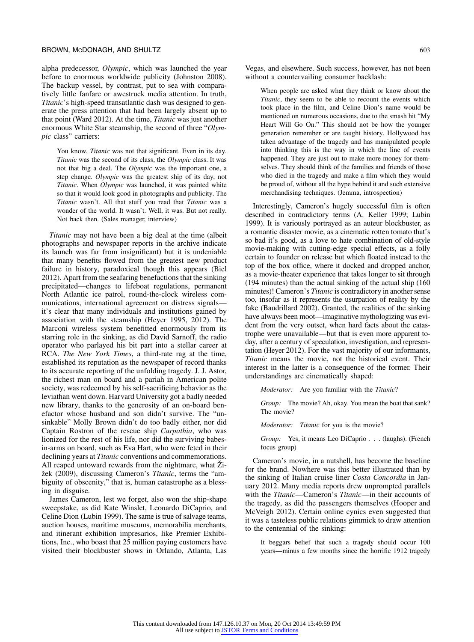#### BROWN, McDONAGH, AND SHULTZ 603

alpha predecessor, *Olympic*, which was launched the year before to enormous worldwide publicity (Johnston 2008). The backup vessel, by contrast, put to sea with comparatively little fanfare or awestruck media attention. In truth, *Titanic*'s high-speed transatlantic dash was designed to generate the press attention that had been largely absent up to that point (Ward 2012). At the time, *Titanic* was just another enormous White Star steamship, the second of three "*Olympic* class" carriers:

You know, *Titanic* was not that significant. Even in its day. *Titanic* was the second of its class, the *Olympic* class. It was not that big a deal. The *Olympic* was the important one, a step change. *Olympic* was the greatest ship of its day, not *Titanic*. When *Olympic* was launched, it was painted white so that it would look good in photographs and publicity. The *Titanic* wasn't. All that stuff you read that *Titanic* was a wonder of the world. It wasn't. Well, it was. But not really. Not back then. (Sales manager, interview)

*Titanic* may not have been a big deal at the time (albeit photographs and newspaper reports in the archive indicate its launch was far from insignificant) but it is undeniable that many benefits flowed from the greatest new product failure in history, paradoxical though this appears (Biel 2012). Apart from the seafaring benefactions that the sinking precipitated—changes to lifeboat regulations, permanent North Atlantic ice patrol, round-the-clock wireless communications, international agreement on distress signals it's clear that many individuals and institutions gained by association with the steamship (Heyer 1995, 2012). The Marconi wireless system benefitted enormously from its starring role in the sinking, as did David Sarnoff, the radio operator who parlayed his bit part into a stellar career at RCA. *The New York Times*, a third-rate rag at the time, established its reputation as the newspaper of record thanks to its accurate reporting of the unfolding tragedy. J. J. Astor, the richest man on board and a pariah in American polite society, was redeemed by his self-sacrificing behavior as the leviathan went down. Harvard University got a badly needed new library, thanks to the generosity of an on-board benefactor whose husband and son didn't survive. The "unsinkable" Molly Brown didn't do too badly either, nor did Captain Rostron of the rescue ship *Carpathia*, who was lionized for the rest of his life, nor did the surviving babesin-arms on board, such as Eva Hart, who were feted in their declining years at *Titanic* conventions and commemorations. All reaped untoward rewards from the nightmare, what  $\check{Z}$ ižek (2009), discussing Cameron's *Titanic*, terms the "ambiguity of obscenity," that is, human catastrophe as a blessing in disguise.

James Cameron, lest we forget, also won the ship-shape sweepstake, as did Kate Winslet, Leonardo DiCaprio, and Celine Dion (Lubin 1999). The same is true of salvage teams, auction houses, maritime museums, memorabilia merchants, and itinerant exhibition impresarios, like Premier Exhibitions, Inc., who boast that 25 million paying customers have visited their blockbuster shows in Orlando, Atlanta, Las Vegas, and elsewhere. Such success, however, has not been without a countervailing consumer backlash:

When people are asked what they think or know about the *Titanic*, they seem to be able to recount the events which took place in the film, and Celine Dion's name would be mentioned on numerous occasions, due to the smash hit "My Heart Will Go On." This should not be how the younger generation remember or are taught history. Hollywood has taken advantage of the tragedy and has manipulated people into thinking this is the way in which the line of events happened. They are just out to make more money for themselves. They should think of the families and friends of those who died in the tragedy and make a film which they would be proud of, without all the hype behind it and such extensive merchandising techniques. (Jemma, introspection)

Interestingly, Cameron's hugely successful film is often described in contradictory terms (A. Keller 1999; Lubin 1999). It is variously portrayed as an auteur blockbuster, as a romantic disaster movie, as a cinematic rotten tomato that's so bad it's good, as a love to hate combination of old-style movie-making with cutting-edge special effects, as a folly certain to founder on release but which floated instead to the top of the box office, where it docked and dropped anchor, as a movie-theater experience that takes longer to sit through (194 minutes) than the actual sinking of the actual ship (160 minutes)! Cameron's *Titanic* is contradictory in another sense too, insofar as it represents the usurpation of reality by the fake (Baudrillard 2002). Granted, the realities of the sinking have always been moot—imaginative mythologizing was evident from the very outset, when hard facts about the catastrophe were unavailable—but that is even more apparent today, after a century of speculation, investigation, and representation (Heyer 2012). For the vast majority of our informants, *Titanic* means the movie, not the historical event. Their interest in the latter is a consequence of the former. Their understandings are cinematically shaped:

*Moderator:* Are you familiar with the *Titanic*?

*Group:* The movie? Ah, okay. You mean the boat that sank? The movie?

*Moderator: Titanic* for you is the movie?

*Group:* Yes, it means Leo DiCaprio . . . (laughs). (French focus group)

Cameron's movie, in a nutshell, has become the baseline for the brand. Nowhere was this better illustrated than by the sinking of Italian cruise liner *Costa Concordia* in January 2012. Many media reports drew unprompted parallels with the *Titanic*—Cameron's *Titanic*—in their accounts of the tragedy, as did the passengers themselves (Hooper and McVeigh 2012). Certain online cynics even suggested that it was a tasteless public relations gimmick to draw attention to the centennial of the sinking:

It beggars belief that such a tragedy should occur 100 years—minus a few months since the horrific 1912 tragedy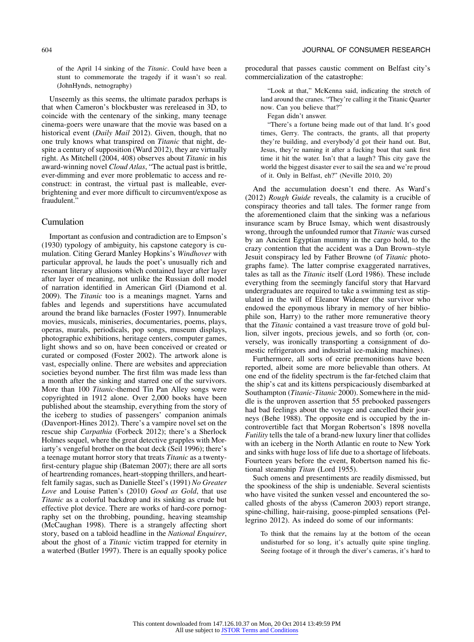of the April 14 sinking of the *Titanic*. Could have been a stunt to commemorate the tragedy if it wasn't so real. (JohnHynds, netnography)

Unseemly as this seems, the ultimate paradox perhaps is that when Cameron's blockbuster was rereleased in 3D, to coincide with the centenary of the sinking, many teenage cinema-goers were unaware that the movie was based on a historical event (*Daily Mail* 2012). Given, though, that no one truly knows what transpired on *Titanic* that night, despite a century of supposition (Ward 2012), they are virtually right. As Mitchell (2004, 408) observes about *Titanic* in his award-winning novel *Cloud Atlas*, "The actual past is brittle, ever-dimming and ever more problematic to access and reconstruct: in contrast, the virtual past is malleable, everbrightening and ever more difficult to circumvent/expose as fraudulent.'

#### Cumulation

Important as confusion and contradiction are to Empson's (1930) typology of ambiguity, his capstone category is cumulation. Citing Gerard Manley Hopkins's *Windhover* with particular approval, he lauds the poet's unusually rich and resonant literary allusions which contained layer after layer after layer of meaning, not unlike the Russian doll model of narration identified in American Girl (Diamond et al. 2009). The *Titanic* too is a meanings magnet. Yarns and fables and legends and superstitions have accumulated around the brand like barnacles (Foster 1997). Innumerable movies, musicals, miniseries, documentaries, poems, plays, operas, murals, periodicals, pop songs, museum displays, photographic exhibitions, heritage centers, computer games, light shows and so on, have been conceived or created or curated or composed (Foster 2002). The artwork alone is vast, especially online. There are websites and appreciation societies beyond number. The first film was made less than a month after the sinking and starred one of the survivors. More than 100 *Titanic*-themed Tin Pan Alley songs were copyrighted in 1912 alone. Over 2,000 books have been published about the steamship, everything from the story of the iceberg to studies of passengers' companion animals (Davenport-Hines 2012). There's a vampire novel set on the rescue ship *Carpathia* (Forbeck 2012); there's a Sherlock Holmes sequel, where the great detective grapples with Moriarty's vengeful brother on the boat deck (Seil 1996); there's a teenage mutant horror story that treats *Titanic* as a twentyfirst-century plague ship (Bateman 2007); there are all sorts of heartrending romances, heart-stopping thrillers, and heartfelt family sagas, such as Danielle Steel's (1991) *No Greater Love* and Louise Patten's (2010) *Good as Gold*, that use *Titanic* as a colorful backdrop and its sinking as crude but effective plot device. There are works of hard-core pornography set on the throbbing, pounding, heaving steamship (McCaughan 1998). There is a strangely affecting short story, based on a tabloid headline in the *National Enquirer*, about the ghost of a *Titanic* victim trapped for eternity in a waterbed (Butler 1997). There is an equally spooky police procedural that passes caustic comment on Belfast city's commercialization of the catastrophe:

"Look at that," McKenna said, indicating the stretch of land around the cranes. "They're calling it the Titanic Quarter now. Can you believe that?"

Fegan didn't answer.

"There's a fortune being made out of that land. It's good times, Gerry. The contracts, the grants, all that property they're building, and everybody'd got their hand out. But, Jesus, they're naming it after a fucking boat that sank first time it hit the water. Isn't that a laugh? This city gave the world the biggest disaster ever to sail the sea and we're proud of it. Only in Belfast, eh?" (Neville 2010, 20)

And the accumulation doesn't end there. As Ward's (2012) *Rough Guide* reveals, the calamity is a crucible of conspiracy theories and tall tales. The former range from the aforementioned claim that the sinking was a nefarious insurance scam by Bruce Ismay, which went disastrously wrong, through the unfounded rumor that *Titanic* was cursed by an Ancient Egyptian mummy in the cargo hold, to the crazy contention that the accident was a Dan Brown–style Jesuit conspiracy led by Father Browne (of *Titanic* photographs fame). The latter comprise exaggerated narratives, tales as tall as the *Titanic* itself (Lord 1986). These include everything from the seemingly fanciful story that Harvard undergraduates are required to take a swimming test as stipulated in the will of Eleanor Widener (the survivor who endowed the eponymous library in memory of her bibliophile son, Harry) to the rather more remunerative theory that the *Titanic* contained a vast treasure trove of gold bullion, silver ingots, precious jewels, and so forth (or, conversely, was ironically transporting a consignment of domestic refrigerators and industrial ice-making machines).

Furthermore, all sorts of eerie premonitions have been reported, albeit some are more believable than others. At one end of the fidelity spectrum is the far-fetched claim that the ship's cat and its kittens perspicaciously disembarked at Southampton (*Titanic-Titanic* 2000). Somewhere in the middle is the unproven assertion that 55 prebooked passengers had bad feelings about the voyage and cancelled their journeys (Behe 1988). The opposite end is occupied by the incontrovertible fact that Morgan Robertson's 1898 novella *Futility* tells the tale of a brand-new luxury liner that collides with an iceberg in the North Atlantic en route to New York and sinks with huge loss of life due to a shortage of lifeboats. Fourteen years before the event, Robertson named his fictional steamship *Titan* (Lord 1955).

Such omens and presentiments are readily dismissed, but the spookiness of the ship is undeniable. Several scientists who have visited the sunken vessel and encountered the socalled ghosts of the abyss (Cameron 2003) report strange, spine-chilling, hair-raising, goose-pimpled sensations (Pellegrino 2012). As indeed do some of our informants:

To think that the remains lay at the bottom of the ocean undisturbed for so long, it's actually quite spine tingling. Seeing footage of it through the diver's cameras, it's hard to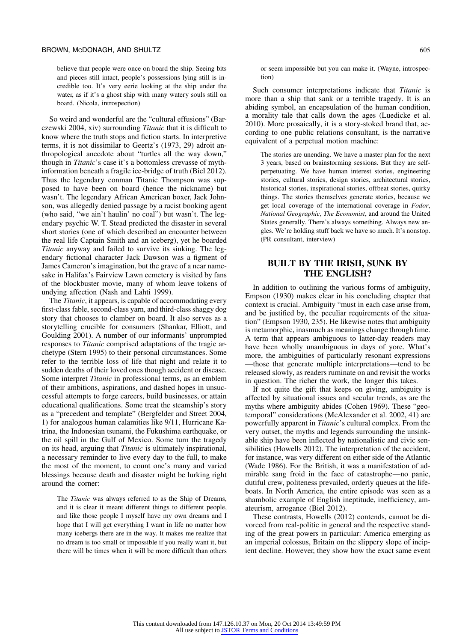believe that people were once on board the ship. Seeing bits and pieces still intact, people's possessions lying still is incredible too. It's very eerie looking at the ship under the water, as if it's a ghost ship with many watery souls still on board. (Nicola, introspection)

So weird and wonderful are the "cultural effusions" (Barczewski 2004, xiv) surrounding *Titanic* that it is difficult to know where the truth stops and fiction starts. In interpretive terms, it is not dissimilar to Geertz's (1973, 29) adroit anthropological anecdote about "turtles all the way down," though in *Titanic*'s case it's a bottomless crevasse of mythinformation beneath a fragile ice-bridge of truth (Biel 2012). Thus the legendary conman Titanic Thompson was supposed to have been on board (hence the nickname) but wasn't. The legendary African American boxer, Jack Johnson, was allegedly denied passage by a racist booking agent (who said, "we ain't haulin' no coal") but wasn't. The legendary psychic W. T. Stead predicted the disaster in several short stories (one of which described an encounter between the real life Captain Smith and an iceberg), yet he boarded *Titanic* anyway and failed to survive its sinking. The legendary fictional character Jack Dawson was a figment of James Cameron's imagination, but the grave of a near namesake in Halifax's Fairview Lawn cemetery is visited by fans of the blockbuster movie, many of whom leave tokens of undying affection (Nash and Lahti 1999).

The *Titanic*, it appears, is capable of accommodating every first-class fable, second-class yarn, and third-class shaggy dog story that chooses to clamber on board. It also serves as a storytelling crucible for consumers (Shankar, Elliott, and Goulding 2001). A number of our informants' unprompted responses to *Titanic* comprised adaptations of the tragic archetype (Stern 1995) to their personal circumstances. Some refer to the terrible loss of life that night and relate it to sudden deaths of their loved ones though accident or disease. Some interpret *Titanic* in professional terms, as an emblem of their ambitions, aspirations, and dashed hopes in unsuccessful attempts to forge careers, build businesses, or attain educational qualifications. Some treat the steamship's story as a "precedent and template" (Bergfelder and Street 2004, 1) for analogous human calamities like 9/11, Hurricane Katrina, the Indonesian tsunami, the Fukushima earthquake, or the oil spill in the Gulf of Mexico. Some turn the tragedy on its head, arguing that *Titanic* is ultimately inspirational, a necessary reminder to live every day to the full, to make the most of the moment, to count one's many and varied blessings because death and disaster might be lurking right around the corner:

The *Titanic* was always referred to as the Ship of Dreams, and it is clear it meant different things to different people, and like those people I myself have my own dreams and I hope that I will get everything I want in life no matter how many icebergs there are in the way. It makes me realize that no dream is too small or impossible if you really want it, but there will be times when it will be more difficult than others

Such consumer interpretations indicate that *Titanic* is more than a ship that sank or a terrible tragedy. It is an abiding symbol, an encapsulation of the human condition, a morality tale that calls down the ages (Luedicke et al. 2010). More prosaically, it is a story-stoked brand that, according to one public relations consultant, is the narrative equivalent of a perpetual motion machine:

The stories are unending. We have a master plan for the next 3 years, based on brainstorming sessions. But they are selfperpetuating. We have human interest stories, engineering stories, cultural stories, design stories, architectural stories, historical stories, inspirational stories, offbeat stories, quirky things. The stories themselves generate stories, because we get local coverage of the international coverage in *Fodor*, *National Geographic*, *The Economist*, and around the United States generally. There's always something. Always new angles. We're holding stuff back we have so much. It's nonstop. (PR consultant, interview)

## **BUILT BY THE IRISH, SUNK BY THE ENGLISH?**

In addition to outlining the various forms of ambiguity, Empson (1930) makes clear in his concluding chapter that context is crucial. Ambiguity "must in each case arise from, and be justified by, the peculiar requirements of the situation" (Empson 1930, 235). He likewise notes that ambiguity is metamorphic, inasmuch as meanings change through time. A term that appears ambiguous to latter-day readers may have been wholly unambiguous in days of yore. What's more, the ambiguities of particularly resonant expressions —those that generate multiple interpretations—tend to be released slowly, as readers ruminate on and revisit the works in question. The richer the work, the longer this takes.

If not quite the gift that keeps on giving, ambiguity is affected by situational issues and secular trends, as are the myths where ambiguity abides (Cohen 1969). These "geotemporal" considerations (McAlexander et al. 2002, 41) are powerfully apparent in *Titanic*'s cultural complex. From the very outset, the myths and legends surrounding the unsinkable ship have been inflected by nationalistic and civic sensibilities (Howells 2012). The interpretation of the accident, for instance, was very different on either side of the Atlantic (Wade 1986). For the British, it was a manifestation of admirable sang froid in the face of catastrophe—no panic, dutiful crew, politeness prevailed, orderly queues at the lifeboats. In North America, the entire episode was seen as a shambolic example of English ineptitude, inefficiency, amateurism, arrogance (Biel 2012).

These contrasts, Howells (2012) contends, cannot be divorced from real-politic in general and the respective standing of the great powers in particular: America emerging as an imperial colossus, Britain on the slippery slope of incipient decline. However, they show how the exact same event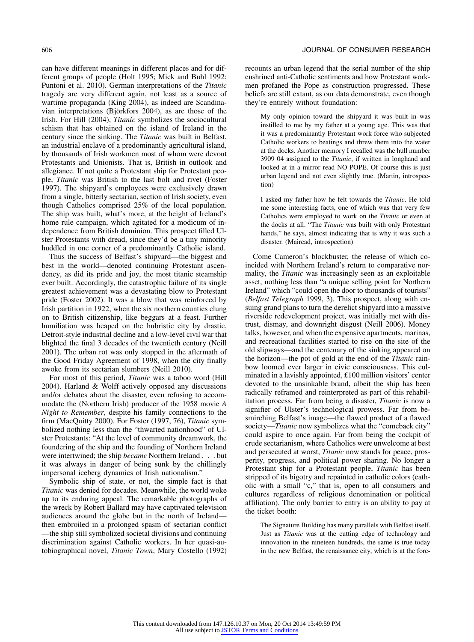can have different meanings in different places and for different groups of people (Holt 1995; Mick and Buhl 1992; Puntoni et al. 2010). German interpretations of the *Titanic* tragedy are very different again, not least as a source of wartime propaganda (King 2004), as indeed are Scandinavian interpretations (Björkfors 2004), as are those of the Irish. For Hill (2004), *Titanic* symbolizes the sociocultural schism that has obtained on the island of Ireland in the century since the sinking. The *Titanic* was built in Belfast, an industrial enclave of a predominantly agricultural island, by thousands of Irish workmen most of whom were devout Protestants and Unionists. That is, British in outlook and allegiance. If not quite a Protestant ship for Protestant people, *Titanic* was British to the last bolt and rivet (Foster 1997). The shipyard's employees were exclusively drawn from a single, bitterly sectarian, section of Irish society, even though Catholics comprised 25% of the local population. The ship was built, what's more, at the height of Ireland's home rule campaign, which agitated for a modicum of independence from British dominion. This prospect filled Ulster Protestants with dread, since they'd be a tiny minority huddled in one corner of a predominantly Catholic island.

Thus the success of Belfast's shipyard—the biggest and best in the world—denoted continuing Protestant ascendency, as did its pride and joy, the most titanic steamship ever built. Accordingly, the catastrophic failure of its single greatest achievement was a devastating blow to Protestant pride (Foster 2002). It was a blow that was reinforced by Irish partition in 1922, when the six northern counties clung on to British citizenship, like beggars at a feast. Further humiliation was heaped on the hubristic city by drastic, Detroit-style industrial decline and a low-level civil war that blighted the final 3 decades of the twentieth century (Neill 2001). The urban rot was only stopped in the aftermath of the Good Friday Agreement of 1998, when the city finally awoke from its sectarian slumbers (Neill 2010).

For most of this period, *Titanic* was a taboo word (Hill 2004). Harland & Wolff actively opposed any discussions and/or debates about the disaster, even refusing to accommodate the (Northern Irish) producer of the 1958 movie *A Night to Remember*, despite his family connections to the firm (MacQuitty 2000). For Foster (1997, 76), *Titanic* symbolized nothing less than the "thwarted nationhood" of Ulster Protestants: "At the level of community dreamwork, the foundering of the ship and the founding of Northern Ireland were intertwined; the ship *became* Northern Ireland . . . but it was always in danger of being sunk by the chillingly impersonal iceberg dynamics of Irish nationalism."

Symbolic ship of state, or not, the simple fact is that *Titanic* was denied for decades. Meanwhile, the world woke up to its enduring appeal. The remarkable photographs of the wreck by Robert Ballard may have captivated television audiences around the globe but in the north of Ireland then embroiled in a prolonged spasm of sectarian conflict —the ship still symbolized societal divisions and continuing discrimination against Catholic workers. In her quasi-autobiographical novel, *Titanic Town*, Mary Costello (1992) recounts an urban legend that the serial number of the ship enshrined anti-Catholic sentiments and how Protestant workmen profaned the Pope as construction progressed. These beliefs are still extant, as our data demonstrate, even though they're entirely without foundation:

My only opinion toward the shipyard it was built in was instilled to me by my father at a young age. This was that it was a predominantly Protestant work force who subjected Catholic workers to beatings and threw them into the water at the docks. Another memory I recalled was the hull number 3909 04 assigned to the *Titanic*, if written in longhand and looked at in a mirror read NO POPE. Of course this is just urban legend and not even slightly true. (Martin, introspection)

I asked my father how he felt towards the *Titanic*. He told me some interesting facts, one of which was that very few Catholics were employed to work on the *Titanic* or even at the docks at all. "The *Titanic* was built with only Protestant hands," he says, almost indicating that is why it was such a disaster. (Mairead, introspection)

Come Cameron's blockbuster, the release of which coincided with Northern Ireland's return to comparative normality, the *Titanic* was increasingly seen as an exploitable asset, nothing less than "a unique selling point for Northern Ireland" which "could open the door to thousands of tourists" (*Belfast Telegraph* 1999, 3). This prospect, along with ensuing grand plans to turn the derelict shipyard into a massive riverside redevelopment project, was initially met with distrust, dismay, and downright disgust (Neill 2006). Money talks, however, and when the expensive apartments, marinas, and recreational facilities started to rise on the site of the old slipways—and the centenary of the sinking appeared on the horizon—the pot of gold at the end of the *Titanic* rainbow loomed ever larger in civic consciousness. This culminated in a lavishly appointed, £100 million visitors' center devoted to the unsinkable brand, albeit the ship has been radically reframed and reinterpreted as part of this rehabilitation process. Far from being a disaster, *Titanic* is now a signifier of Ulster's technological prowess. Far from besmirching Belfast's image—the flawed product of a flawed society—*Titanic* now symbolizes what the "comeback city" could aspire to once again. Far from being the cockpit of crude sectarianism, where Catholics were unwelcome at best and persecuted at worst, *Titanic* now stands for peace, prosperity, progress, and political power sharing. No longer a Protestant ship for a Protestant people, *Titanic* has been stripped of its bigotry and repainted in catholic colors (catholic with a small "c," that is, open to all consumers and cultures regardless of religious denomination or political affiliation). The only barrier to entry is an ability to pay at the ticket booth:

The Signature Building has many parallels with Belfast itself. Just as *Titanic* was at the cutting edge of technology and innovation in the nineteen hundreds, the same is true today in the new Belfast, the renaissance city, which is at the fore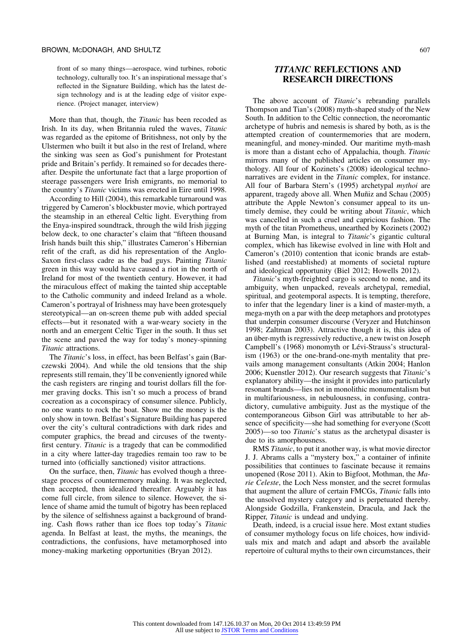front of so many things—aerospace, wind turbines, robotic technology, culturally too. It's an inspirational message that's reflected in the Signature Building, which has the latest design technology and is at the leading edge of visitor experience. (Project manager, interview)

More than that, though, the *Titanic* has been recoded as Irish. In its day, when Britannia ruled the waves, *Titanic* was regarded as the epitome of Britishness, not only by the Ulstermen who built it but also in the rest of Ireland, where the sinking was seen as God's punishment for Protestant pride and Britain's perfidy. It remained so for decades thereafter. Despite the unfortunate fact that a large proportion of steerage passengers were Irish emigrants, no memorial to the country's *Titanic* victims was erected in Eire until 1998.

According to Hill (2004), this remarkable turnaround was triggered by Cameron's blockbuster movie, which portrayed the steamship in an ethereal Celtic light. Everything from the Enya-inspired soundtrack, through the wild Irish jigging below deck, to one character's claim that "fifteen thousand Irish hands built this ship," illustrates Cameron's Hibernian refit of the craft, as did his representation of the Anglo-Saxon first-class cadre as the bad guys. Painting *Titanic* green in this way would have caused a riot in the north of Ireland for most of the twentieth century. However, it had the miraculous effect of making the tainted ship acceptable to the Catholic community and indeed Ireland as a whole. Cameron's portrayal of Irishness may have been grotesquely stereotypical—an on-screen theme pub with added special effects—but it resonated with a war-weary society in the north and an emergent Celtic Tiger in the south. It thus set the scene and paved the way for today's money-spinning *Titanic* attractions.

The *Titanic*'s loss, in effect, has been Belfast's gain (Barczewski 2004). And while the old tensions that the ship represents still remain, they'll be conveniently ignored while the cash registers are ringing and tourist dollars fill the former graving docks. This isn't so much a process of brand cocreation as a coconspiracy of consumer silence. Publicly, no one wants to rock the boat. Show me the money is the only show in town. Belfast's Signature Building has papered over the city's cultural contradictions with dark rides and computer graphics, the bread and circuses of the twentyfirst century. *Titanic* is a tragedy that can be commodified in a city where latter-day tragedies remain too raw to be turned into (officially sanctioned) visitor attractions.

On the surface, then, *Titanic* has evolved though a threestage process of countermemory making. It was neglected, then accepted, then idealized thereafter. Arguably it has come full circle, from silence to silence. However, the silence of shame amid the tumult of bigotry has been replaced by the silence of selfishness against a background of branding. Cash flows rather than ice floes top today's *Titanic* agenda. In Belfast at least, the myths, the meanings, the contradictions, the confusions, have metamorphosed into money-making marketing opportunities (Bryan 2012).

# *TITANIC* **REFLECTIONS AND RESEARCH DIRECTIONS**

The above account of *Titanic*'s rebranding parallels Thompson and Tian's (2008) myth-shaped study of the New South. In addition to the Celtic connection, the neoromantic archetype of hubris and nemesis is shared by both, as is the attempted creation of countermemories that are modern, meaningful, and money-minded. Our maritime myth-mash is more than a distant echo of Appalachia, though. *Titanic* mirrors many of the published articles on consumer mythology. All four of Kozinets's (2008) ideological technonarratives are evident in the *Titanic* complex, for instance. All four of Barbara Stern's (1995) archetypal *mythoi* are apparent, tragedy above all. When Muñiz and Schau (2005) attribute the Apple Newton's consumer appeal to its untimely demise, they could be writing about *Titanic*, which was cancelled in such a cruel and capricious fashion. The myth of the titan Prometheus, unearthed by Kozinets (2002) at Burning Man, is integral to *Titanic*'s gigantic cultural complex, which has likewise evolved in line with Holt and Cameron's (2010) contention that iconic brands are established (and reestablished) at moments of societal rupture and ideological opportunity (Biel 2012; Howells 2012).

*Titanic*'s myth-freighted cargo is second to none, and its ambiguity, when unpacked, reveals archetypal, remedial, spiritual, and geotemporal aspects. It is tempting, therefore, to infer that the legendary liner is a kind of master-myth, a mega-myth on a par with the deep metaphors and prototypes that underpin consumer discourse (Veryzer and Hutchinson 1998; Zaltman 2003). Attractive though it is, this idea of an über-myth is regressively reductive, a new twist on Joseph Campbell's (1968) monomyth or Lévi-Strauss's structuralism (1963) or the one-brand-one-myth mentality that prevails among management consultants (Atkin 2004; Hanlon 2006; Kuenstler 2012). Our research suggests that *Titanic*'s explanatory ability—the insight it provides into particularly resonant brands—lies not in monolithic monumentalism but in multifariousness, in nebulousness, in confusing, contradictory, cumulative ambiguity. Just as the mystique of the contemporaneous Gibson Girl was attributable to her absence of specificity—she had something for everyone (Scott 2005)—so too *Titanic*'s status as the archetypal disaster is due to its amorphousness.

RMS *Titanic*, to put it another way, is what movie director J. J. Abrams calls a "mystery box," a container of infinite possibilities that continues to fascinate because it remains unopened (Rose 2011). Akin to Bigfoot, Mothman, the *Marie Celeste*, the Loch Ness monster, and the secret formulas that augment the allure of certain FMCGs, *Titanic* falls into the unsolved mystery category and is perpetuated thereby. Alongside Godzilla, Frankenstein, Dracula, and Jack the Ripper, *Titanic* is undead and undying.

Death, indeed, is a crucial issue here. Most extant studies of consumer mythology focus on life choices, how individuals mix and match and adapt and absorb the available repertoire of cultural myths to their own circumstances, their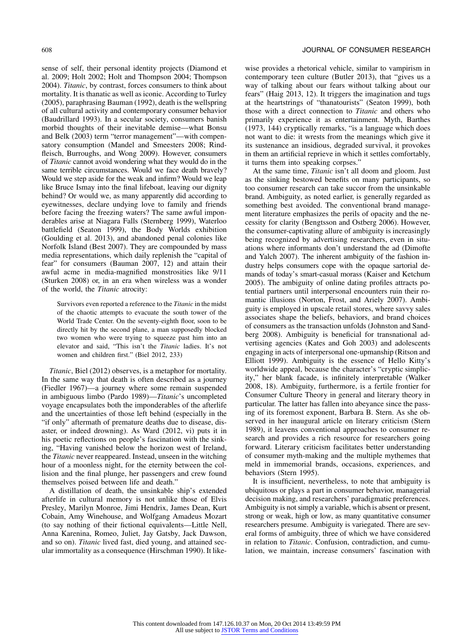sense of self, their personal identity projects (Diamond et al. 2009; Holt 2002; Holt and Thompson 2004; Thompson 2004). *Titanic*, by contrast, forces consumers to think about mortality. It is thanatic as well as iconic. According to Turley (2005), paraphrasing Bauman (1992), death is the wellspring of all cultural activity and contemporary consumer behavior (Baudrillard 1993). In a secular society, consumers banish morbid thoughts of their inevitable demise—what Bonsu and Belk (2003) term "terror management"—with compensatory consumption (Mandel and Smeesters 2008; Rindfleisch, Burroughs, and Wong 2009). However, consumers of *Titanic* cannot avoid wondering what they would do in the same terrible circumstances. Would we face death bravely? Would we step aside for the weak and infirm? Would we leap like Bruce Ismay into the final lifeboat, leaving our dignity behind? Or would we, as many apparently did according to eyewitnesses, declare undying love to family and friends before facing the freezing waters? The same awful imponderables arise at Niagara Falls (Sternberg 1999), Waterloo battlefield (Seaton 1999), the Body Worlds exhibition (Goulding et al. 2013), and abandoned penal colonies like Norfolk Island (Best 2007). They are compounded by mass media representations, which daily replenish the "capital of fear" for consumers (Bauman 2007, 12) and attain their awful acme in media-magnified monstrosities like 9/11 (Sturken 2008) or, in an era when wireless was a wonder of the world, the *Titanic* atrocity:

Survivors even reported a reference to the *Titanic* in the midst of the chaotic attempts to evacuate the south tower of the World Trade Center. On the seventy-eighth floor, soon to be directly hit by the second plane, a man supposedly blocked two women who were trying to squeeze past him into an elevator and said, "This isn't the *Titanic* ladies. It's not women and children first." (Biel 2012, 233)

*Titanic*, Biel (2012) observes, is a metaphor for mortality. In the same way that death is often described as a journey (Fiedler 1967)—a journey where some remain suspended in ambiguous limbo (Pardo 1989)—*Titanic*'s uncompleted voyage encapsulates both the imponderables of the afterlife and the uncertainties of those left behind (especially in the "if only" aftermath of premature deaths due to disease, disaster, or indeed drowning). As Ward (2012, vi) puts it in his poetic reflections on people's fascination with the sinking, "Having vanished below the horizon west of Ireland, the *Titanic* never reappeared. Instead, unseen in the witching hour of a moonless night, for the eternity between the collision and the final plunge, her passengers and crew found themselves poised between life and death."

A distillation of death, the unsinkable ship's extended afterlife in cultural memory is not unlike those of Elvis Presley, Marilyn Monroe, Jimi Hendrix, James Dean, Kurt Cobain, Amy Winehouse, and Wolfgang Amadeus Mozart (to say nothing of their fictional equivalents—Little Nell, Anna Karenina, Romeo, Juliet, Jay Gatsby, Jack Dawson, and so on). *Titanic* lived fast, died young, and attained secular immortality as a consequence (Hirschman 1990). It likewise provides a rhetorical vehicle, similar to vampirism in contemporary teen culture (Butler 2013), that "gives us a way of talking about our fears without talking about our fears" (Haig 2013, 12). It triggers the imagination and tugs at the heartstrings of "thanatourists" (Seaton 1999), both those with a direct connection to *Titanic* and others who primarily experience it as entertainment. Myth, Barthes (1973, 144) cryptically remarks, "is a language which does not want to die: it wrests from the meanings which give it its sustenance an insidious, degraded survival, it provokes in them an artificial reprieve in which it settles comfortably, it turns them into speaking corpses."

At the same time, *Titanic* isn't all doom and gloom. Just as the sinking bestowed benefits on many participants, so too consumer research can take succor from the unsinkable brand. Ambiguity, as noted earlier, is generally regarded as something best avoided. The conventional brand management literature emphasizes the perils of opacity and the necessity for clarity (Bengtsson and Ostberg 2006). However, the consumer-captivating allure of ambiguity is increasingly being recognized by advertising researchers, even in situations where informants don't understand the ad (Dimofte and Yalch 2007). The inherent ambiguity of the fashion industry helps consumers cope with the opaque sartorial demands of today's smart-casual morass (Kaiser and Ketchum 2005). The ambiguity of online dating profiles attracts potential partners until interpersonal encounters ruin their romantic illusions (Norton, Frost, and Ariely 2007). Ambiguity is employed in upscale retail stores, where savvy sales associates shape the beliefs, behaviors, and brand choices of consumers as the transaction unfolds (Johnston and Sandberg 2008). Ambiguity is beneficial for transnational advertising agencies (Kates and Goh 2003) and adolescents engaging in acts of interpersonal one-upmanship (Ritson and Elliott 1999). Ambiguity is the essence of Hello Kitty's worldwide appeal, because the character's "cryptic simplicity," her blank facade, is infinitely interpretable (Walker 2008, 18). Ambiguity, furthermore, is a fertile frontier for Consumer Culture Theory in general and literary theory in particular. The latter has fallen into abeyance since the passing of its foremost exponent, Barbara B. Stern. As she observed in her inaugural article on literary criticism (Stern 1989), it leavens conventional approaches to consumer research and provides a rich resource for researchers going forward. Literary criticism facilitates better understanding of consumer myth-making and the multiple mythemes that meld in immemorial brands, occasions, experiences, and behaviors (Stern 1995).

It is insufficient, nevertheless, to note that ambiguity is ubiquitous or plays a part in consumer behavior, managerial decision making, and researchers' paradigmatic preferences. Ambiguity is not simply a variable, which is absent or present, strong or weak, high or low, as many quantitative consumer researchers presume. Ambiguity is variegated. There are several forms of ambiguity, three of which we have considered in relation to *Titanic*. Confusion, contradiction, and cumulation, we maintain, increase consumers' fascination with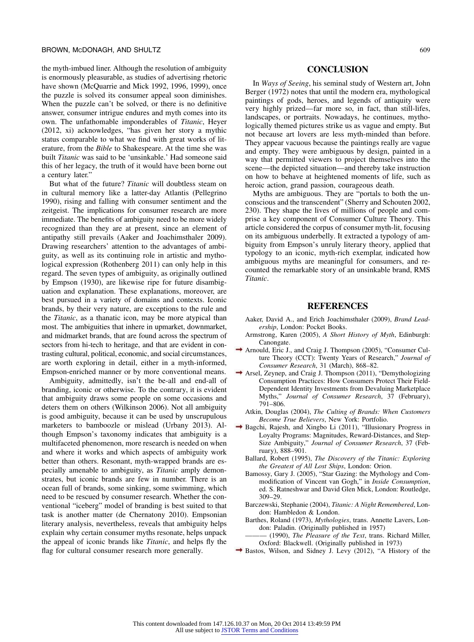the myth-imbued liner. Although the resolution of ambiguity is enormously pleasurable, as studies of advertising rhetoric have shown (McQuarrie and Mick 1992, 1996, 1999), once the puzzle is solved its consumer appeal soon diminishes. When the puzzle can't be solved, or there is no definitive answer, consumer intrigue endures and myth comes into its own. The unfathomable imponderables of *Titanic*, Heyer (2012, xi) acknowledges, "has given her story a mythic status comparable to what we find with great works of literature, from the *Bible* to Shakespeare. At the time she was built *Titanic* was said to be 'unsinkable.' Had someone said this of her legacy, the truth of it would have been borne out a century later."

But what of the future? *Titanic* will doubtless steam on in cultural memory like a latter-day Atlantis (Pellegrino 1990), rising and falling with consumer sentiment and the zeitgeist. The implications for consumer research are more immediate. The benefits of ambiguity need to be more widely recognized than they are at present, since an element of antipathy still prevails (Aaker and Joachimsthaler 2009). Drawing researchers' attention to the advantages of ambiguity, as well as its continuing role in artistic and mythological expression (Rothenberg 2011) can only help in this regard. The seven types of ambiguity, as originally outlined by Empson (1930), are likewise ripe for future disambiguation and explanation. These explanations, moreover, are best pursued in a variety of domains and contexts. Iconic brands, by their very nature, are exceptions to the rule and the *Titanic*, as a thanatic icon, may be more atypical than most. The ambiguities that inhere in upmarket, downmarket, and midmarket brands, that are found across the spectrum of sectors from hi-tech to heritage, and that are evident in contrasting cultural, political, economic, and social circumstances, are worth exploring in detail, either in a myth-informed, Empson-enriched manner or by more conventional means.

Ambiguity, admittedly, isn't the be-all and end-all of branding, iconic or otherwise. To the contrary, it is evident that ambiguity draws some people on some occasions and deters them on others (Wilkinson 2006). Not all ambiguity is good ambiguity, because it can be used by unscrupulous marketers to bamboozle or mislead (Urbany 2013). Although Empson's taxonomy indicates that ambiguity is a multifaceted phenomenon, more research is needed on when and where it works and which aspects of ambiguity work better than others. Resonant, myth-wrapped brands are especially amenable to ambiguity, as *Titanic* amply demonstrates, but iconic brands are few in number. There is an ocean full of brands, some sinking, some swimming, which need to be rescued by consumer research. Whether the conventional "iceberg" model of branding is best suited to that task is another matter (de Chernatony 2010). Empsonian literary analysis, nevertheless, reveals that ambiguity helps explain why certain consumer myths resonate, helps unpack the appeal of iconic brands like *Titanic*, and helps fly the flag for cultural consumer research more generally.

In *Ways of Seeing*, his seminal study of Western art, John Berger (1972) notes that until the modern era, mythological paintings of gods, heroes, and legends of antiquity were very highly prized—far more so, in fact, than still-lifes, landscapes, or portraits. Nowadays, he continues, mythologically themed pictures strike us as vague and empty. But not because art lovers are less myth-minded than before. They appear vacuous because the paintings really are vague and empty. They were ambiguous by design, painted in a way that permitted viewers to project themselves into the scene—the depicted situation—and thereby take instruction on how to behave at heightened moments of life, such as heroic action, grand passion, courageous death.

Myths are ambiguous. They are "portals to both the unconscious and the transcendent" (Sherry and Schouten 2002, 230). They shape the lives of millions of people and comprise a key component of Consumer Culture Theory. This article considered the corpus of consumer myth-lit, focusing on its ambiguous underbelly. It extracted a typology of ambiguity from Empson's unruly literary theory, applied that typology to an iconic, myth-rich exemplar, indicated how ambiguous myths are meaningful for consumers, and recounted the remarkable story of an unsinkable brand, RMS *Titanic*.

#### **REFERENCES**

- Aaker, David A., and Erich Joachimsthaler (2009), *Brand Leadership*, London: Pocket Books.
- Armstrong, Karen (2005), *A Short History of Myth*, Edinburgh: Canongate.
- Arnould, Eric J., and Craig J. Thompson (2005), "Consumer Culture Theory (CCT): Twenty Years of Research," *Journal of Consumer Research*, 31 (March), 868–82.
- $\rightarrow$  Arsel, Zeynep, and Craig J. Thompson (2011), "Demythologizing Consumption Practices: How Consumers Protect Their Field-Dependent Identity Investments from Devaluing Marketplace Myths," *Journal of Consumer Research*, 37 (February), 791–806.
	- Atkin, Douglas (2004), *The Culting of Brands: When Customers Become True Believers*, New York: Portfolio.
- Bagchi, Rajesh, and Xingbo Li (2011), "Illusionary Progress in Loyalty Programs: Magnitudes, Reward-Distances, and Step-Size Ambiguity," *Journal of Consumer Research*, 37 (February), 888–901.
	- Ballard, Robert (1995), *The Discovery of the Titanic: Exploring the Greatest of All Lost Ships*, London: Orion.
	- Bamossy, Gary J. (2005), "Star Gazing: the Mythology and Commodification of Vincent van Gogh," in *Inside Consumption*, ed. S. Ratneshwar and David Glen Mick, London: Routledge, 309–29.
	- Barczewski, Stephanie (2004), *Titanic: A Night Remembered*, London: Hambledon & London.
	- Barthes, Roland (1973), *Mythologies*, trans. Annette Lavers, London: Paladin. (Originally published in 1957)
	- ——— (1990), *The Pleasure of the Text*, trans. Richard Miller, Oxford: Blackwell. (Originally published in 1973)
- Bastos, Wilson, and Sidney J. Levy (2012), "A History of the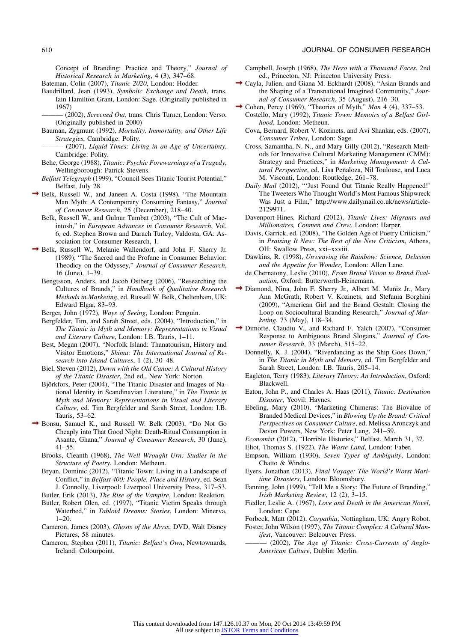#### 610 JOURNAL OF CONSUMER RESEARCH

Concept of Branding: Practice and Theory," *Journal of Historical Research in Marketing*, 4 (3), 347–68.

- Bateman, Colin (2007), *Titanic 2020*, London: Hodder.
- Baudrillard, Jean (1993), *Symbolic Exchange and Death*, trans. Iain Hamilton Grant, London: Sage. (Originally published in 1967)
	- ——— (2002), *Screened Out*, trans. Chris Turner, London: Verso. (Originally published in 2000)
- Bauman, Zygmunt (1992), *Mortality, Immortality, and Other Life Strategies*, Cambridge: Polity.
	- ——— (2007), *Liquid Times: Living in an Age of Uncertainty*, Cambridge: Polity.
- Behe, George (1988), *Titanic: Psychic Forewarnings of a Tragedy*, Wellingborough: Patrick Stevens.
- *Belfast Telegraph* (1999), "Council Sees Titanic Tourist Potential," Belfast, July 28.
- Belk, Russell W., and Janeen A. Costa (1998), "The Mountain Man Myth: A Contemporary Consuming Fantasy," *Journal of Consumer Research*, 25 (December), 218–40.
	- Belk, Russell W., and Gulnur Tumbat (2003), "The Cult of Macintosh," in *European Advances in Consumer Research*, Vol. 6, ed. Stephen Brown and Darach Turley, Valdosta, GA: Association for Consumer Research, 1.
- Belk, Russell W., Melanie Wallendorf, and John F. Sherry Jr. (1989), "The Sacred and the Profane in Consumer Behavior: Theodicy on the Odyssey," *Journal of Consumer Research*, 16 (June), 1–39.
	- Bengtsson, Anders, and Jacob Ostberg (2006), "Researching the Cultures of Brands," in *Handbook of Qualitative Research Methods in Marketing*, ed. Russell W. Belk, Cheltenham, UK: Edward Elgar, 83–93.
	- Berger, John (1972), *Ways of Seeing*, London: Penguin.
	- Bergfelder, Tim, and Sarah Street, eds. (2004), "Introduction," in *The Titanic in Myth and Memory: Representations in Visual and Literary Culture*, London: I.B. Tauris, 1–11.
	- Best, Megan (2007), "Norfolk Island: Thanatourism, History and Visitor Emotions," *Shima: The International Journal of Research into Island Cultures*, 1 (2), 30–48.
	- Biel, Steven (2012), *Down with the Old Canoe: A Cultural History of the Titanic Disaster*, 2nd ed., New York: Norton.
	- Björkfors, Peter (2004), "The Titanic Disaster and Images of National Identity in Scandinavian Literature," in *The Titanic in Myth and Memory: Representations in Visual and Literary Culture*, ed. Tim Bergfelder and Sarah Street, London: I.B. Tauris, 53–62.
- Bonsu, Samuel K., and Russell W. Belk (2003), "Do Not Go Cheaply into That Good Night: Death-Ritual Consumption in Asante, Ghana," *Journal of Consumer Research*, 30 (June), 41–55.
	- Brooks, Cleanth (1968), *The Well Wrought Urn: Studies in the Structure of Poetry*, London: Metheun.
	- Bryan, Dominic (2012), "Titanic Town: Living in a Landscape of Conflict," in *Belfast 400: People, Place and History*, ed. Sean J. Connolly, Liverpool: Liverpool University Press, 317–53.
	- Butler, Erik (2013), *The Rise of the Vampire*, London: Reaktion.
	- Butler, Robert Olen, ed. (1997), "Titanic Victim Speaks through Waterbed," in *Tabloid Dreams: Stories*, London: Minerva, 1–20.
	- Cameron, James (2003), *Ghosts of the Abyss*, DVD, Walt Disney Pictures, 58 minutes.
	- Cameron, Stephen (2011), *Titanic: Belfast's Own*, Newtownards, Ireland: Colourpoint.
- Campbell, Joseph (1968), *The Hero with a Thousand Faces*, 2nd ed., Princeton, NJ: Princeton University Press.
- Cayla, Julien, and Giana M. Eckhardt (2008), "Asian Brands and the Shaping of a Transnational Imagined Community," *Journal of Consumer Research*, 35 (August), 216–30.
- $\rightarrow$  Cohen, Percy (1969), "Theories of Myth," *Man* 4 (4), 337–53.
	- Costello, Mary (1992), *Titanic Town: Memoirs of a Belfast Girlhood*, London: Metheun.
	- Cova, Bernard, Robert V. Kozinets, and Avi Shankar, eds. (2007), *Consumer Tribes*, London: Sage.
	- Cross, Samantha, N. N., and Mary Gilly (2012), "Research Methods for Innovative Cultural Marketing Management (CMM): Strategy and Practices," in *Marketing Management: A Cul*tural Perspective, ed. Lisa Peñaloza, Nil Toulouse, and Luca M. Visconti, London: Routledge, 261–78.
	- *Daily Mail* (2012), "'Just Found Out Titanic Really Happened!' The Tweeters Who Thought World's Most Famous Shipwreck Was Just a Film," [http://www.dailymail.co.uk/news/article-](http://www.dailymail.co.uk/news/article-2129971)[2129971.](http://www.dailymail.co.uk/news/article-2129971)
	- Davenport-Hines, Richard (2012), *Titanic Lives: Migrants and Millionaires, Conmen and Crew*, London: Harper.
	- Davis, Garrick, ed. (2008), "The Golden Age of Poetry Criticism," in *Praising It New: The Best of the New Criticism*, Athens, OH: Swallow Press, xxi–xxviii.
	- Dawkins, R. (1998), *Unweaving the Rainbow: Science, Delusion and the Appetite for Wonder*, London: Allen Lane.
	- de Chernatony, Leslie (2010), *From Brand Vision to Brand Evaluation*, Oxford: Butterworth-Heinemann.
- Diamond, Nina, John F. Sherry Jr., Albert M. Muñiz Jr., Mary Ann McGrath, Robert V. Kozinets, and Stefania Borghini (2009), "American Girl and the Brand Gestalt: Closing the Loop on Sociocultural Branding Research," *Journal of Marketing*, 73 (May), 118–34.
- Dimofte, Claudiu V., and Richard F. Yalch (2007), "Consumer Response to Ambiguous Brand Slogans," *Journal of Consumer Research*, 33 (March), 515–22.
	- Donnelly, K. J. (2004), "Riverdancing as the Ship Goes Down," in *The Titanic in Myth and Memory*, ed. Tim Bergfelder and Sarah Street, London: I.B. Tauris, 205–14.
	- Eagleton, Terry (1983), *Literary Theory: An Introduction*, Oxford: Blackwell.
	- Eaton, John P., and Charles A. Haas (2011), *Titanic: Destination Disaster*, Yeovil: Haynes.
	- Ebeling, Mary (2010), "Marketing Chimeras: The Biovalue of Branded Medical Devices," in *Blowing Up the Brand: Critical Perspectives on Consumer Culture*, ed. Melissa Aronczyk and Devon Powers, New York: Peter Lang, 241–59.
	- *Economist* (2012), "Horrible Histories," Belfast, March 31, 37.
	- Eliot, Thomas S. (1922), *The Waste Land*, London: Faber.
	- Empson, William (1930), *Seven Types of Ambiguity*, London: Chatto & Windus.
	- Eyers, Jonathan (2013), *Final Voyage: The World's Worst Maritime Disasters*, London: Bloomsbury.
	- Fanning, John (1999), "Tell Me a Story: The Future of Branding," *Irish Marketing Review*, 12 (2), 3–15.
	- Fiedler, Leslie A. (1967), *Love and Death in the American Novel*, London: Cape.
	- Forbeck, Matt (2012), *Carpathia*, Nottingham, UK: Angry Robot.
	- Foster, John Wilson (1997), *The Titanic Complex: A Cultural Manifest*, Vancouver: Belcouver Press.
		- (2002), The Age of Titanic: Cross-Currents of Anglo-*American Culture*, Dublin: Merlin.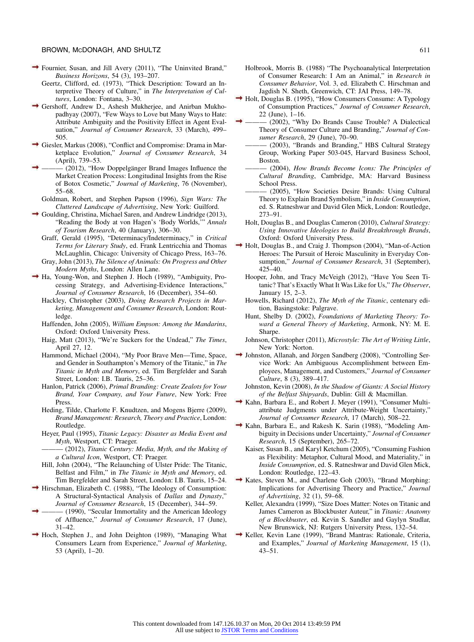#### BROWN, McDONAGH, AND SHULTZ 611

- Fournier, Susan, and Jill Avery (2011), "The Uninvited Brand," *Business Horizons*, 54 (3), 193–207.
	- Geertz, Clifford, ed. (1973), "Thick Description: Toward an Interpretive Theory of Culture," in *The Interpretation of Cultures*, London: Fontana, 3–30.
- Gershoff, Andrew D., Ashesh Mukherjee, and Anirban Mukhopadhyay (2007), "Few Ways to Love but Many Ways to Hate: Attribute Ambiguity and the Positivity Effect in Agent Evaluation," *Journal of Consumer Research*, 33 (March), 499– 505.
- Giesler, Markus (2008), "Conflict and Compromise: Drama in Marketplace Evolution," *Journal of Consumer Research*, 34 (April), 739–53.
- (2012), "How Doppelgänger Brand Images Influence the Market Creation Process: Longitudinal Insights from the Rise of Botox Cosmetic," *Journal of Marketing*, 76 (November), 55–68.
	- Goldman, Robert, and Stephen Papson (1996), *Sign Wars: The Cluttered Landscape of Advertising*, New York: Guilford.
- Goulding, Christina, Michael Saren, and Andrew Lindridge (2013), "Reading the Body at von Hagen's 'Body Worlds,'" *Annals of Tourism Research*, 40 (January), 306–30.
	- Graff, Gerald (1995), "Determinacy/Indeterminacy," in *Critical Terms for Literary Study*, ed. Frank Lentricchia and Thomas McLaughlin, Chicago: University of Chicago Press, 163–76.
- Gray, John (2013), *The Silence of Animals: On Progress and Other Modern Myths*, London: Allen Lane.
- Ha, Young-Won, and Stephen J. Hoch (1989), "Ambiguity, Processing Strategy, and Advertising-Evidence Interactions," *Journal of Consumer Research*, 16 (December), 354–60.
	- Hackley, Christopher (2003), *Doing Research Projects in Marketing, Management and Consumer Research*, London: Routledge.
	- Haffenden, John (2005), *William Empson: Among the Mandarins*, Oxford: Oxford University Press.
	- Haig, Matt (2013), "We're Suckers for the Undead," *The Times*, April 27, 12.
	- Hammond, Michael (2004), "My Poor Brave Men—Time, Space, and Gender in Southampton's Memory of the Titanic," in *The Titanic in Myth and Memory*, ed. Tim Bergfelder and Sarah Street, London: I.B. Tauris, 25–36.
	- Hanlon, Patrick (2006), *Primal Branding: Create Zealots for Your Brand, Your Company, and Your Future*, New York: Free Press.
	- Heding, Tilde, Charlotte F. Knudtzen, and Mogens Bjerre (2009), *Brand Management: Research, Theory and Practice*, London: Routledge.
	- Heyer, Paul (1995), *Titanic Legacy: Disaster as Media Event and Myth*, Westport, CT: Praeger.
	- ——— (2012), *Titanic Century: Media, Myth, and the Making of a Cultural Icon*, Westport, CT: Praeger.
	- Hill, John (2004), "The Relaunching of Ulster Pride: The Titanic, Belfast and Film," in *The Titanic in Myth and Memory*, ed. Tim Bergfelder and Sarah Street, London: I.B. Tauris, 15–24.
- $\rightarrow$  Hirschman, Elizabeth C. (1988), "The Ideology of Consumption: A Structural-Syntactical Analysis of *Dallas* and *Dynasty*," *Journal of Consumer Research*, 15 (December), 344–59.
- (1990), "Secular Immortality and the American Ideology of Affluence," *Journal of Consumer Research*, 17 (June), 31–42.
- Hoch, Stephen J., and John Deighton (1989), "Managing What Consumers Learn from Experience," *Journal of Marketing*, 53 (April), 1–20.
- Holbrook, Morris B. (1988) "The Psychoanalytical Interpretation of Consumer Research: I Am an Animal," in *Research in Consumer Behavior*, Vol. 3, ed. Elizabeth C. Hirschman and Jagdish N. Sheth, Greenwich, CT: JAI Press, 149–78.
- $\rightarrow$  Holt, Douglas B. (1995), "How Consumers Consume: A Typology of Consumption Practices," *Journal of Consumer Research*, 22 (June), 1–16.
	- (2002), "Why Do Brands Cause Trouble? A Dialectical Theory of Consumer Culture and Branding," *Journal of Consumer Research*, 29 (June), 70–90.
	- ——— (2003), "Brands and Branding," HBS Cultural Strategy Group, Working Paper 503-045, Harvard Business School, Boston.
	- ——— (2004), *How Brands Become Icons: The Principles of Cultural Branding*, Cambridge, MA: Harvard Business School Press.
	- (2005), "How Societies Desire Brands: Using Cultural Theory to Explain Brand Symbolism," in *Inside Consumption*, ed. S. Ratneshwar and David Glen Mick, London: Routledge, 273–91.
	- Holt, Douglas B., and Douglas Cameron (2010), *Cultural Strategy: Using Innovative Ideologies to Build Breakthrough Brands*, Oxford: Oxford University Press.
- Holt, Douglas B., and Craig J. Thompson (2004), "Man-of-Action Heroes: The Pursuit of Heroic Masculinity in Everyday Consumption," *Journal of Consumer Research*, 31 (September), 425–40.
	- Hooper, John, and Tracy McVeigh (2012), "Have You Seen Titanic? That's Exactly What It Was Like for Us," *The Observer*, January 15, 2–3.
	- Howells, Richard (2012), *The Myth of the Titanic*, centenary edition, Basingstoke: Palgrave.
	- Hunt, Shelby D. (2002), *Foundations of Marketing Theory: Toward a General Theory of Marketing*, Armonk, NY: M. E. Sharpe.
	- Johnson, Christopher (2011), *Microstyle: The Art of Writing Little*, New York: Norton.
- $\rightarrow$  Johnston, Allanah, and Jörgen Sandberg (2008), "Controlling Service Work: An Ambiguous Accomplishment between Employees, Management, and Customers," *Journal of Consumer Culture*, 8 (3), 389–417.
	- Johnston, Kevin (2008), *In the Shadow of Giants: A Social History of the Belfast Shipyards*, Dublin: Gill & Macmillan.
- Kahn, Barbara E., and Robert J. Meyer (1991), "Consumer Multiattribute Judgments under Attribute-Weight Uncertainty," *Journal of Consumer Research*, 17 (March), 508–22.
- Kahn, Barbara E., and Rakesh K. Sarin (1988), "Modeling Ambiguity in Decisions under Uncertainty," *Journal of Consumer Research*, 15 (September), 265–72.
	- Kaiser, Susan B., and Karyl Ketchum (2005), "Consuming Fashion as Flexibility: Metaphor, Cultural Mood, and Materiality," in *Inside Consumption*, ed. S. Ratneshwar and David Glen Mick, London: Routledge, 122–43.
- Kates, Steven M., and Charlene Goh (2003), "Brand Morphing: Implications for Advertising Theory and Practice," *Journal of Advertising*, 32 (1), 59–68.
	- Keller, Alexandra (1999), "Size Does Matter: Notes on Titanic and James Cameron as Blockbuster Auteur," in *Titanic: Anatomy of a Blockbuster*, ed. Kevin S. Sandler and Gaylyn Studlar, New Brunswick, NJ: Rutgers University Press, 132–54.
- Keller, Kevin Lane (1999), "Brand Mantras: Rationale, Criteria, and Examples," *Journal of Marketing Management*, 15 (1), 43–51.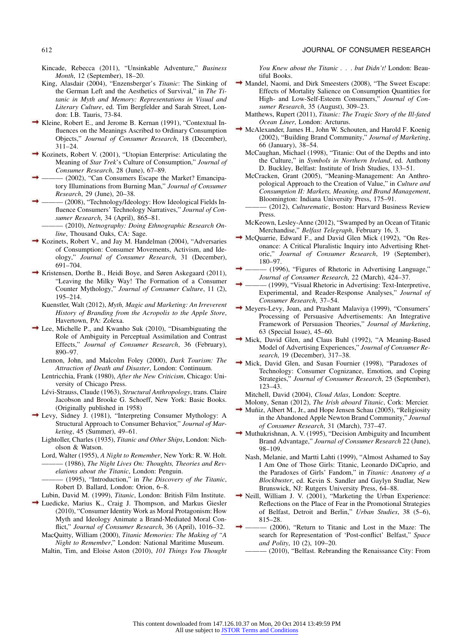- Kincade, Rebecca (2011), "Unsinkable Adventure," *Business Month*, 12 (September), 18–20.
- King, Alasdair (2004), "Enzensberger's *Titanic*: The Sinking of the German Left and the Aesthetics of Survival," in *The Titanic in Myth and Memory: Representations in Visual and Literary Culture*, ed. Tim Bergfelder and Sarah Street, London: I.B. Tauris, 73-84.
- Kleine, Robert E., and Jerome B. Kernan (1991), "Contextual Influences on the Meanings Ascribed to Ordinary Consumption Objects," *Journal of Consumer Research*, 18 (December), 311–24.
- $\rightarrow$  Kozinets, Robert V. (2001), "Utopian Enterprise: Articulating the Meaning of *Star Trek*'s Culture of Consumption," *Journal of Consumer Research*, 28 (June), 67–89.
- ——— (2002), "Can Consumers Escape the Market? Emancipatory Illuminations from Burning Man," *Journal of Consumer Research*, 29 (June), 20–38.
- (2008), "Technology/Ideology: How Ideological Fields Influence Consumers' Technology Narratives," *Journal of Consumer Research*, 34 (April), 865–81.
	- $-$  (2010), *Netnography: Doing Ethnographic Research Online*, Thousand Oaks, CA: Sage.
- Kozinets, Robert V., and Jay M. Handelman (2004), "Adversaries of Consumption: Consumer Movements, Activism, and Ideology," *Journal of Consumer Research*, 31 (December), 691–704.
- Kristensen, Dorthe B., Heidi Boye, and Søren Askegaard (2011), "Leaving the Milky Way! The Formation of a Consumer Counter Mythology," *Journal of Consumer Culture*, 11 (2), 195–214.
	- Kuenstler, Walt (2012), *Myth, Magic and Marketing: An Irreverent History of Branding from the Acropolis to the Apple Store*, Havertown, PA: Zolexa.
- **→ Lee, Michelle P., and Kwanho Suk (2010), "Disambiguating the** Role of Ambiguity in Perceptual Assimilation and Contrast Effects," *Journal of Consumer Research*, 36 (February), 890–97.
	- Lennon, John, and Malcolm Foley (2000), *Dark Tourism: The Attraction of Death and Disaster*, London: Continuum.
	- Lentricchia, Frank (1980), *After the New Criticism*, Chicago: University of Chicago Press.
	- Le´vi-Strauss, Claude (1963), *Structural Anthropology*, trans. Claire Jacobson and Brooke G. Schoeff, New York: Basic Books. (Originally published in 1958)
- Levy, Sidney J. (1981), "Interpreting Consumer Mythology: A Structural Approach to Consumer Behavior," *Journal of Marketing*, 45 (Summer), 49–61.
	- Lightoller, Charles (1935), *Titanic and Other Ships*, London: Nicholson & Watson.
	- Lord, Walter (1955), *A Night to Remember*, New York: R. W. Holt.  $-$  (1986), *The Night Lives On: Thoughts, Theories and Revelations about the Titanic*, London: Penguin.
		- ——— (1995), "Introduction," in *The Discovery of the Titanic*, Robert D. Ballard, London: Orion, 6–8.

Lubin, David M. (1999), *Titanic*, London: British Film Institute.

- Luedicke, Marius K., Craig J. Thompson, and Markus Giesler (2010), "Consumer Identity Work as Moral Protagonism: How Myth and Ideology Animate a Brand-Mediated Moral Conflict," *Journal of Consumer Research*, 36 (April), 1016–32.
	- MacQuitty, William (2000), *Titanic Memories: The Making of "A Night to Remember*," London: National Maritime Museum.
	- Maltin, Tim, and Eloise Aston (2010), *101 Things You Thought*

*You Knew about the Titanic . . . but Didn't!* London: Beautiful Books.

- Mandel, Naomi, and Dirk Smeesters (2008), "The Sweet Escape: Effects of Mortality Salience on Consumption Quantities for High- and Low-Self-Esteem Consumers," *Journal of Consumer Research*, 35 (August), 309–23.
	- Matthews, Rupert (2011), *Titanic: The Tragic Story of the Ill-fated Ocean Liner*, London: Arcturus.
- McAlexander, James H., John W. Schouten, and Harold F. Koenig (2002), "Building Brand Community," *Journal of Marketing*, 66 (January), 38–54.
	- McCaughan, Michael (1998), "Titanic: Out of the Depths and into the Culture," in *Symbols in Northern Ireland*, ed. Anthony D. Buckley, Belfast: Institute of Irish Studies, 133–51.
	- McCracken, Grant (2005), "Meaning-Management: An Anthropological Approach to the Creation of Value," in *Culture and Consumption II: Markets, Meaning, and Brand Management*, Bloomington: Indiana University Press, 175–91.
	- ——— (2012), *Culturematic*, Boston: Harvard Business Review Press.
	- McKeown, Lesley-Anne (2012), "Swamped by an Ocean of Titanic Merchandise," *Belfast Telegraph*, February 16, 3.
- McQuarrie, Edward F., and David Glen Mick (1992), "On Resonance: A Critical Pluralistic Inquiry into Advertising Rhetoric," *Journal of Consumer Research*, 19 (September), 180–97.
- (1996), "Figures of Rhetoric in Advertising Language," *Journal of Consumer Research*, 22 (March), 424–37.
- ——— (1999), "Visual Rhetoric in Advertising: Text-Interpretive, Experimental, and Reader-Response Analyses," *Journal of Consumer Research*, 37–54.
- Meyers-Levy, Joan, and Prashant Malaviya (1999), "Consumers' Processing of Persuasive Advertisements: An Integrative Framework of Persuasion Theories," *Journal of Marketing*, 63 (Special Issue), 45–60.
- Mick, David Glen, and Claus Buhl (1992), "A Meaning-Based Model of Advertising Experiences," *Journal of Consumer Research*, 19 (December), 317–38.
- Mick, David Glen, and Susan Fournier (1998), "Paradoxes of Technology: Consumer Cognizance, Emotion, and Coping Strategies," *Journal of Consumer Research*, 25 (September), 123–43.

Mitchell, David (2004), *Cloud Atlas*, London: Sceptre.

- Molony, Senan (2012), *The Irish aboard Titanic*, Cork: Mercier.
- → Muñiz, Albert M., Jr., and Hope Jensen Schau (2005), "Religiosity in the Abandoned Apple Newton Brand Community," *Journal of Consumer Research*, 31 (March), 737–47.
- $\rightarrow$  Muthukrishnan, A. V. (1995), "Decision Ambiguity and Incumbent Brand Advantage," *Journal of Consumer Research* 22 (June), 98–109.
	- Nash, Melanie, and Martti Lahti (1999), "Almost Ashamed to Say I Am One of Those Girls: Titanic, Leonardo DiCaprio, and the Paradoxes of Girls' Fandom," in *Titanic: Anatomy of a Blockbuster*, ed. Kevin S. Sandler and Gaylyn Studlar, New Brunswick, NJ: Rutgers University Press, 64–88.
- $\rightarrow$  Neill, William J. V. (2001), "Marketing the Urban Experience: Reflections on the Place of Fear in the Promotional Strategies of Belfast, Detroit and Berlin," *Urban Studies*, 38 (5–6), 815–28.
- ——— (2006), "Return to Titanic and Lost in the Maze: The search for Representation of 'Post-conflict' Belfast," *Space and Polity*, 10 (2), 109–20.
	- ——— (2010), "Belfast. Rebranding the Renaissance City: From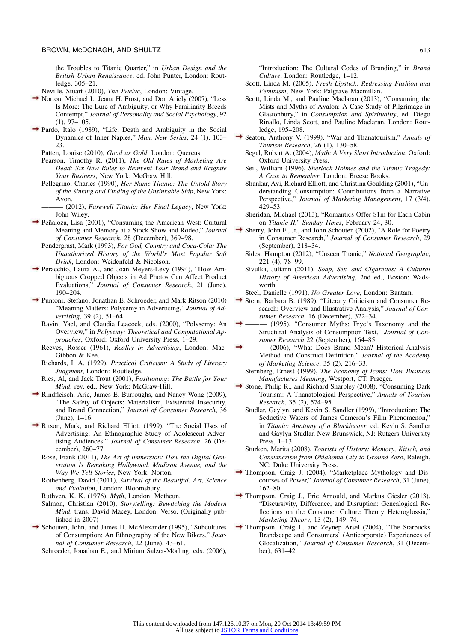the Troubles to Titanic Quarter," in *Urban Design and the British Urban Renaissance*, ed. John Punter, London: Routledge, 305–21.

- Neville, Stuart (2010), *The Twelve*, London: Vintage.
- → Norton, Michael I., Jeana H. Frost, and Don Ariely (2007), "Less Is More: The Lure of Ambiguity, or Why Familiarity Breeds Contempt," *Journal of Personality and Social Psychology*, 92 (1), 97–105.
- $\rightarrow$  Pardo, Italo (1989), "Life, Death and Ambiguity in the Social Dynamics of Inner Naples," *Man, New Series*, 24 (1), 103– 23.
	- Patten, Louise (2010), *Good as Gold*, London: Quercus.
	- Pearson, Timothy R. (2011), *The Old Rules of Marketing Are Dead: Six New Rules to Reinvent Your Brand and Reignite Your Business*, New York: McGraw Hill.
	- Pellegrino, Charles (1990), *Her Name Titanic: The Untold Story of the Sinking and Finding of the Unsinkable Ship*, New York: Avon.
		- ——— (2012), *Farewell Titanic: Her Final Legacy*, New York: John Wiley.
- $\rightarrow$  Peñaloza, Lisa (2001), "Consuming the American West: Cultural Meaning and Memory at a Stock Show and Rodeo," *Journal of Consumer Research*, 28 (December), 369–98.
- Pendergrast, Mark (1993), *For God, Country and Coca-Cola: The Unauthorized History of the World's Most Popular Soft Drink*, London: Weidenfeld & Nicolson.
- Peracchio, Laura A., and Joan Meyers-Levy (1994), "How Ambiguous Cropped Objects in Ad Photos Can Affect Product Evaluations," *Journal of Consumer Research*, 21 (June), 190–204.
- Puntoni, Stefano, Jonathan E. Schroeder, and Mark Ritson (2010) "Meaning Matters: Polysemy in Advertising," *Journal of Advertising*, 39 (2), 51–64.
	- Ravin, Yael, and Claudia Leacock, eds. (2000), "Polysemy: An Overview," in *Polysemy: Theoretical and Computational Approaches*, Oxford: Oxford University Press, 1–29.
	- Reeves, Rosser (1961), *Reality in Advertising*, London: Mac-Gibbon & Kee.
	- Richards, I. A. (1929), *Practical Criticism: A Study of Literary Judgment*, London: Routledge.
	- Ries, Al, and Jack Trout (2001), *Positioning: The Battle for Your Mind*, rev. ed., New York: McGraw-Hill.
- Rindfleisch, Aric, James E. Burroughs, and Nancy Wong (2009), "The Safety of Objects: Materialism, Existential Insecurity, and Brand Connection," *Journal of Consumer Research*, 36 (June), 1–16.
- Ritson, Mark, and Richard Elliott (1999), "The Social Uses of Advertising: An Ethnographic Study of Adolescent Advertising Audiences," *Journal of Consumer Research*, 26 (December), 260–77.
	- Rose, Frank (2011), *The Art of Immersion: How the Digital Generation Is Remaking Hollywood, Madison Avenue, and the Way We Tell Stories*, New York: Norton.
	- Rothenberg, David (2011), *Survival of the Beautiful: Art, Science and Evolution*, London: Bloomsbury.
	- Ruthven, K. K. (1976), *Myth*, London: Metheun.
	- Salmon, Christian (2010), *Storytelling: Bewitching the Modern Mind*, trans. David Macey, London: Verso. (Originally published in 2007)
- Schouten, John, and James H. McAlexander (1995), "Subcultures of Consumption: An Ethnography of the New Bikers," *Journal of Consumer Research*, 22 (June), 43–61.
	- Schroeder, Jonathan E., and Miriam Salzer-Mörling, eds. (2006),

"Introduction: The Cultural Codes of Branding," in *Brand Culture*, London: Routledge, 1–12.

- Scott, Linda M. (2005), *Fresh Lipstick: Redressing Fashion and Feminism*, New York: Palgrave Macmillan.
- Scott, Linda M., and Pauline Maclaran (2013), "Consuming the Mists and Myths of Avalon: A Case Study of Pilgrimage in Glastonbury," in *Consumption and Spirituality*, ed. Diego Rinallo, Linda Scott, and Pauline Maclaran, London: Routledge, 195–208.
- Seaton, Anthony V. (1999), "War and Thanatourism," *Annals of Tourism Research*, 26 (1), 130–58.
	- Segal, Robert A. (2004), *Myth: A Very Short Introduction*, Oxford: Oxford University Press.
	- Seil, William (1996), *Sherlock Holmes and the Titanic Tragedy: A Case to Remember*, London: Breese Books.
	- Shankar, Avi, Richard Elliott, and Christina Goulding (2001), "Understanding Consumption: Contributions from a Narrative Perspective," *Journal of Marketing Management*, 17 (3/4), 429–53.
- Sheridan, Michael (2013), "Romantics Offer \$1m for Each Cabin on *Titanic II*," *Sunday Times*, February 24, 30.
- Sherry, John F., Jr., and John Schouten (2002), "A Role for Poetry in Consumer Research," *Journal of Consumer Research*, 29 (September), 218–34.
	- Sides, Hampton (2012), "Unseen Titanic," *National Geographic*, 221 (4), 78–99.
	- Sivulka, Juliann (2011), *Soap, Sex, and Cigarettes: A Cultural History of American Advertising*, 2nd ed., Boston: Wadsworth.
	- Steel, Danielle (1991), *No Greater Love*, London: Bantam.
- Stern, Barbara B. (1989), "Literary Criticism and Consumer Research: Overview and Illustrative Analysis," *Journal of Consumer Research*, 16 (December), 322–34.
- (1995), "Consumer Myths: Frye's Taxonomy and the Structural Analysis of Consumption Text," *Journal of Consumer Research* 22 (September), 164–85.
- (2006), "What Does Brand Mean? Historical-Analysis Method and Construct Definition," *Journal of the Academy of Marketing Science*, 35 (2), 216–33.
- Sternberg, Ernest (1999), *The Economy of Icons: How Business Manufactures Meaning*, Westport, CT: Praeger.
- Stone, Philip R., and Richard Sharpley (2008), "Consuming Dark Tourism: A Thanatological Perspective," *Annals of Tourism Research*, 35 (2), 574–95.
	- Studlar, Gaylyn, and Kevin S. Sandler (1999), "Introduction: The Seductive Waters of James Cameron's Film Phenomenon," in *Titanic: Anatomy of a Blockbuster*, ed. Kevin S. Sandler and Gaylyn Studlar, New Brunswick, NJ: Rutgers University Press, 1–13.
	- Sturken, Marita (2008), *Tourists of History: Memory, Kitsch, and Consumerism from Oklahoma City to Ground Zero*, Raleigh, NC: Duke University Press.
- Thompson, Craig J. (2004), "Marketplace Mythology and Discourses of Power," *Journal of Consumer Research*, 31 (June), 162–80.
- Thompson, Craig J., Eric Arnould, and Markus Giesler (2013), "Discursivity, Difference, and Disruption: Genealogical Reflections on the Consumer Culture Theory Heteroglossia," *Marketing Theory*, 13 (2), 149–74.
- Thompson, Craig J., and Zeynep Arsel (2004), "The Starbucks Brandscape and Consumers' (Anticorporate) Experiences of Glocalization," *Journal of Consumer Research*, 31 (December), 631–42.